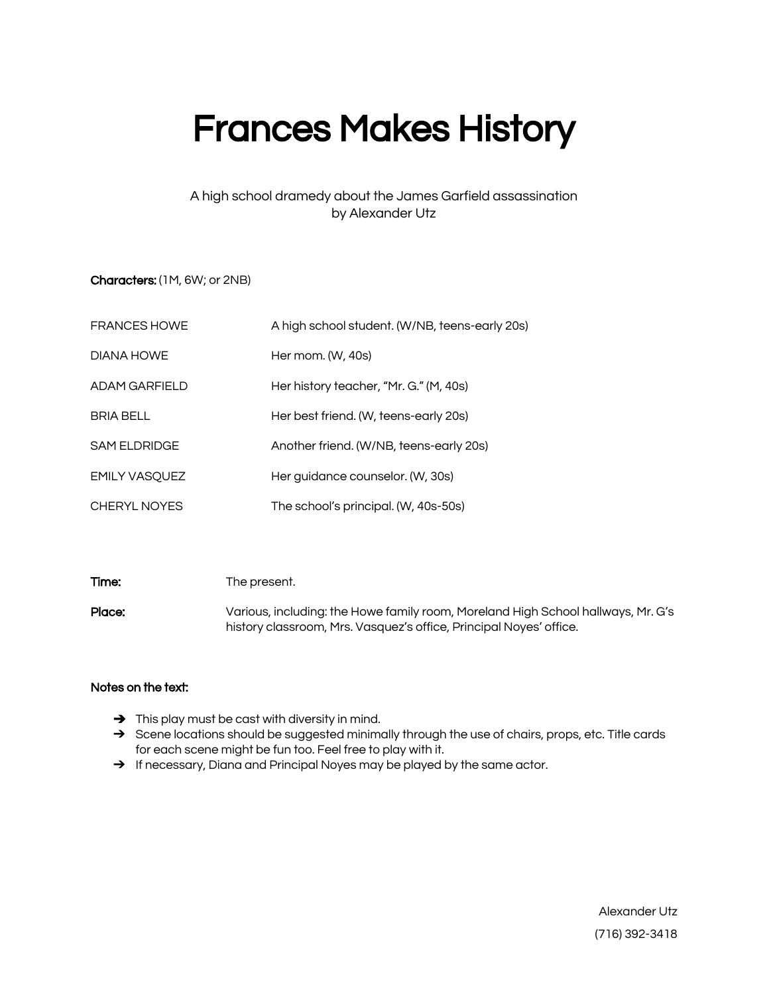# **Frances Makes History**

# A high school dramedy about the James Garfield assassination by Alexander Utz

Characters: (1M, 6W; or 2NB)

| <b>FRANCES HOWE</b>  | A high school student. (W/NB, teens-early 20s) |
|----------------------|------------------------------------------------|
| DIANA HOWE           | Her mom. (W, 40s)                              |
| ADAM GARFIELD        | Her history teacher, "Mr. G." (M, 40s)         |
| <b>BRIA BELL</b>     | Her best friend. (W, teens-early 20s)          |
| <b>SAM ELDRIDGE</b>  | Another friend. (W/NB, teens-early 20s)        |
| <b>EMILY VASQUEZ</b> | Her guidance counselor. (W, 30s)               |
| <b>CHERYL NOYES</b>  | The school's principal. (W, 40s-50s)           |

| Time:  | The present.                                                                                                                                           |
|--------|--------------------------------------------------------------------------------------------------------------------------------------------------------|
| Place: | Various, including: the Howe family room, Moreland High School hallways, Mr. G's<br>history classroom, Mrs. Vasquez's office, Principal Noyes' office. |

## Notes on the text:

- $\rightarrow$  This play must be cast with diversity in mind.
- Scene locations should be suggested minimally through the use of chairs, props, etc. Title cards for each scene might be fun too. Feel free to play with it.
- > If necessary, Diana and Principal Noyes may be played by the same actor.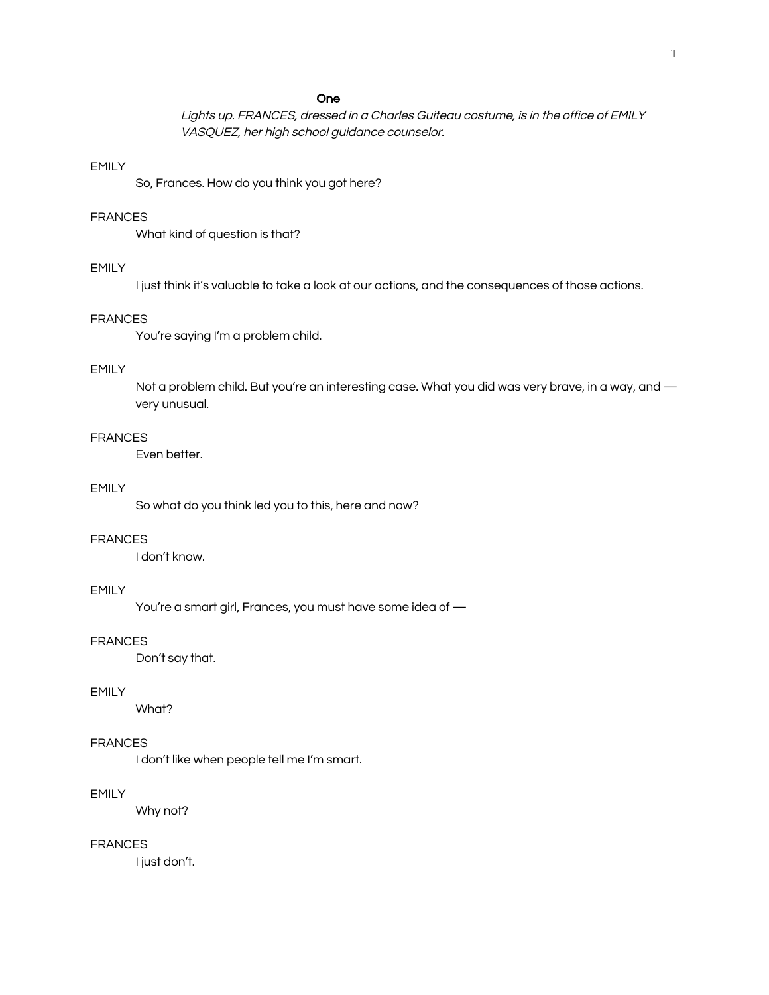Lights up. FRANCES, dressed in a Charles Guiteau costume, is in the office of EMILY VASQUEZ, her high school guidance counselor.

# **EMILY**

So, Frances. How do you think you got here?

## **FRANCES**

What kind of question is that?

# **EMILY**

I just think it's valuable to take a look at our actions, and the consequences of those actions.

# **FRANCES**

You're saying I'm a problem child.

# FMII Y

Not a problem child. But you're an interesting case. What you did was very brave, in a way, and very unusual.

# **FRANCES**

Even better.

## FMII Y

So what do you think led you to this, here and now?

# **FRANCES**

I don't know.

# **EMILY**

You're a smart girl, Frances, you must have some idea of -

#### **FRANCES**

Don't say that.

# **EMILY**

What?

#### **FRANCES**

I don't like when people tell me I'm smart.

## **EMILY**

Why not?

## **FRANCES**

I just don't.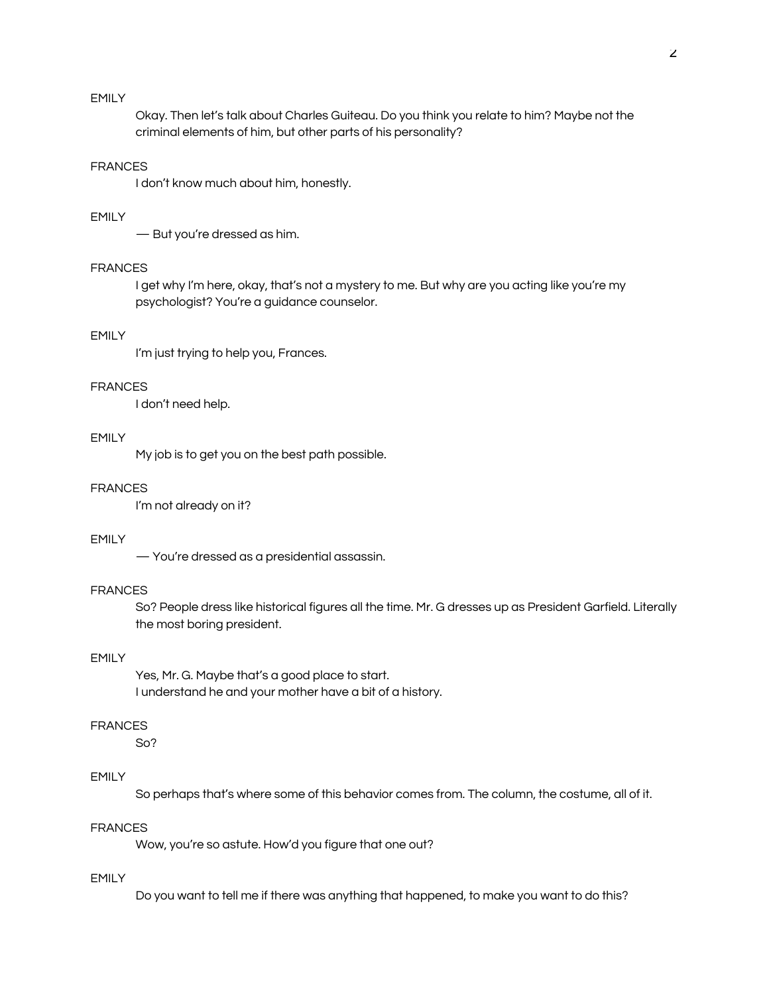## **EMILY**

Okay. Then let's talk about Charles Guiteau. Do you think you relate to him? Maybe not the criminal elements of him, but other parts of his personality?

#### **FRANCES**

I don't know much about him, honestly.

# FMII Y

- But you're dressed as him.

#### **FRANCES**

I get why I'm here, okay, that's not a mystery to me. But why are you acting like you're my psychologist? You're a guidance counselor.

## FMII Y

I'm just trying to help you, Frances.

## **FRANCES**

I don't need help.

## **EMILY**

My job is to get you on the best path possible.

#### **FRANCES**

I'm not already on it?

## **EMILY**

- You're dressed as a presidential assassin.

## **FRANCES**

So? People dress like historical figures all the time. Mr. G dresses up as President Garfield. Literally the most boring president.

# **EMILY**

Yes, Mr. G. Maybe that's a good place to start. I understand he and your mother have a bit of a history.

# **FRANCES**

So?

# FMII Y

So perhaps that's where some of this behavior comes from. The column, the costume, all of it.

#### **FRANCES**

Wow, you're so astute. How'd you figure that one out?

# **EMILY**

Do you want to tell me if there was anything that happened, to make you want to do this?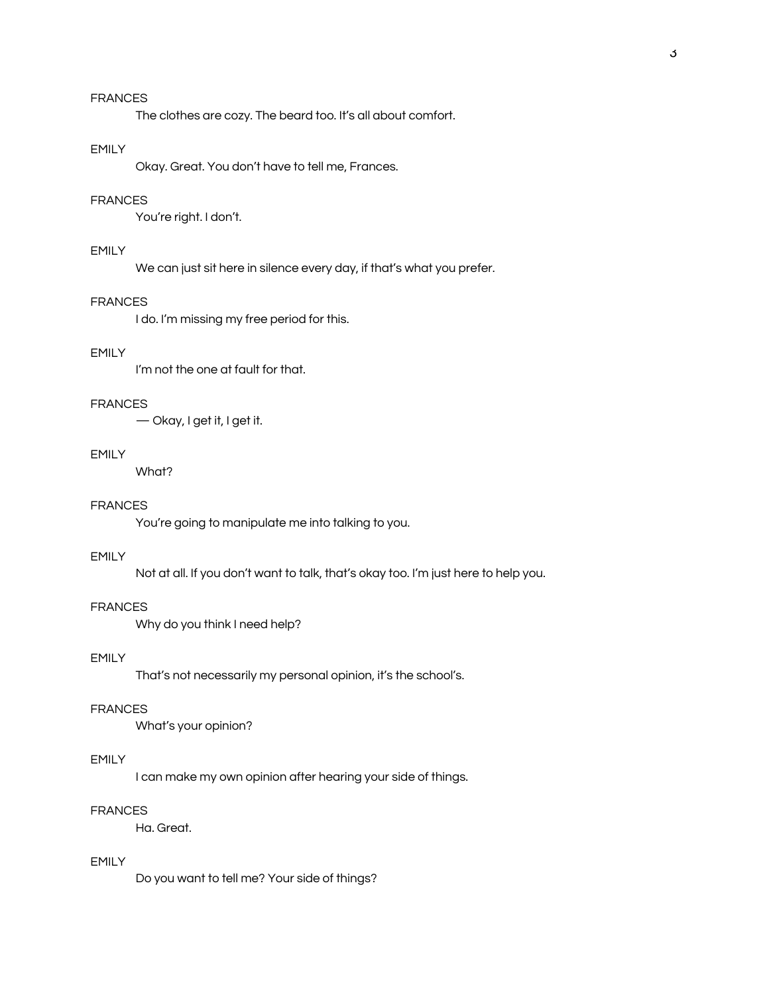The clothes are cozy. The beard too. It's all about comfort.

## **EMILY**

Okay. Great. You don't have to tell me, Frances.

## **FRANCES**

You're right. I don't.

# **EMILY**

We can just sit here in silence every day, if that's what you prefer.

#### **FRANCES**

I do. I'm missing my free period for this.

## **EMILY**

I'm not the one at fault for that.

## **FRANCES**

- Okay, I get it, I get it.

## **EMILY**

What?

# **FRANCES**

You're going to manipulate me into talking to you.

# **EMILY**

Not at all. If you don't want to talk, that's okay too. I'm just here to help you.

#### **FRANCES**

Why do you think I need help?

## **EMILY**

That's not necessarily my personal opinion, it's the school's.

#### **FRANCES**

What's your opinion?

# **EMILY**

I can make my own opinion after hearing your side of things.

## **FRANCES**

Ha. Great.

# **EMILY**

Do you want to tell me? Your side of things?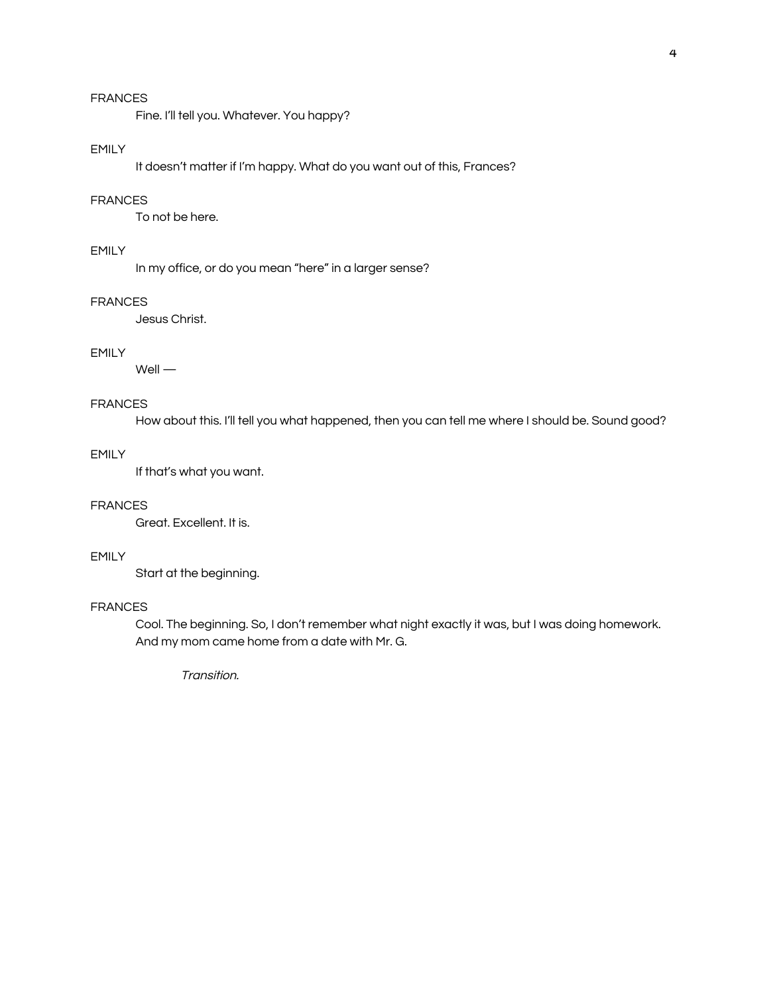Fine. I'll tell you. Whatever. You happy?

## **EMILY**

It doesn't matter if I'm happy. What do you want out of this, Frances?

## **FRANCES**

To not be here.

# **EMILY**

In my office, or do you mean "here" in a larger sense?

#### **FRANCES**

Jesus Christ.

## **EMILY**

 $Well -$ 

# **FRANCES**

How about this. I'll tell you what happened, then you can tell me where I should be. Sound good?

#### **EMILY**

If that's what you want.

# **FRANCES**

Great, Excellent, It is.

# **EMILY**

Start at the beginning.

#### **FRANCES**

Cool. The beginning. So, I don't remember what night exactly it was, but I was doing homework. And my mom came home from a date with Mr. G.

Transition.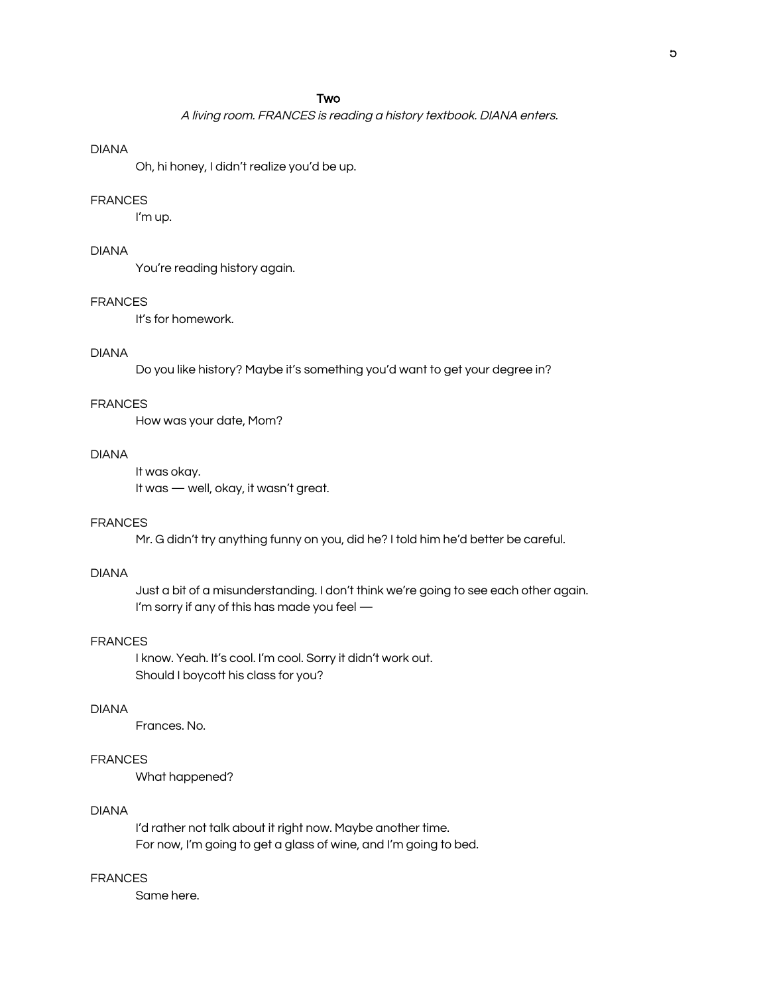#### A living room. FRANCES is reading a history textbook. DIANA enters.

#### **DIANA**

Oh, hi honey, I didn't realize you'd be up.

## **FRANCES**

I'm up.

# **DIANA**

You're reading history again.

#### **FRANCES**

It's for homework.

## **DIANA**

Do you like history? Maybe it's something you'd want to get your degree in?

## **FRANCES**

How was your date, Mom?

#### **DIANA**

It was okay. It was - well, okay, it wasn't great.

#### **FRANCES**

Mr. G didn't try anything funny on you, did he? I told him he'd better be careful.

### **DIANA**

Just a bit of a misunderstanding. I don't think we're going to see each other again. I'm sorry if any of this has made you feel -

#### **FRANCES**

I know. Yeah. It's cool. I'm cool. Sorry it didn't work out. Should I boycott his class for you?

#### **DIANA**

Frances, No.

## **FRANCES**

What happened?

# **DIANA**

I'd rather not talk about it right now. Maybe another time. For now, I'm going to get a glass of wine, and I'm going to bed.

# **FRANCES**

Same here.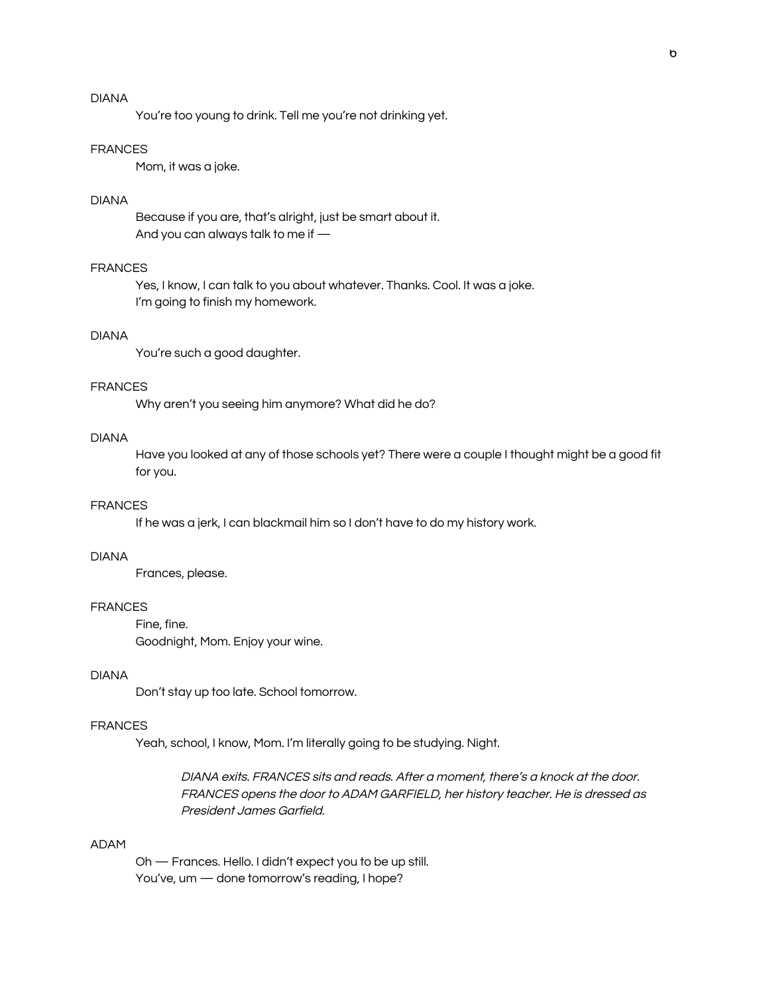You're too young to drink. Tell me you're not drinking yet.

#### **FRANCES**

Mom, it was a joke.

## **DIANA**

Because if you are, that's alright, just be smart about it. And you can always talk to me if -

#### **FRANCES**

Yes, I know, I can talk to you about whatever. Thanks. Cool. It was a joke. I'm going to finish my homework.

#### **DIANA**

You're such a good daughter.

## **FRANCES**

Why aren't you seeing him anymore? What did he do?

## **DIANA**

Have you looked at any of those schools yet? There were a couple I thought might be a good fit for you.

# **FRANCES**

If he was a jerk, I can blackmail him so I don't have to do my history work.

#### **DIANA**

Frances, please.

#### **FRANCES**

Fine, fine. Goodnight, Mom. Enjoy your wine.

#### **DIANA**

Don't stay up too late. School tomorrow.

# **FRANCES**

Yeah, school, I know, Mom. I'm literally going to be studying. Night.

DIANA exits. FRANCES sits and reads. After a moment, there's a knock at the door. FRANCES opens the door to ADAM GARFIELD, her history teacher. He is dressed as President James Garfield.

# **ADAM**

Oh - Frances. Hello. I didn't expect you to be up still. You've, um - done tomorrow's reading, I hope?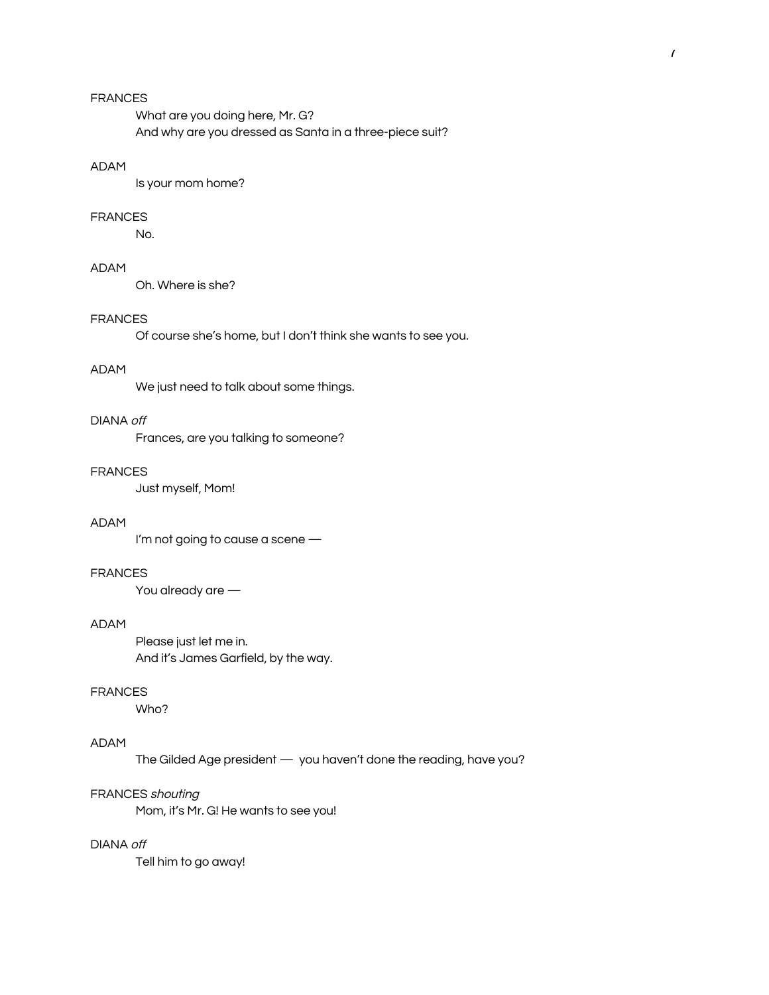What are you doing here, Mr. G? And why are you dressed as Santa in a three-piece suit?

# **ADAM**

Is your mom home?

## **FRANCES**

No.

## **ADAM**

Oh. Where is she?

# **FRANCES**

Of course she's home, but I don't think she wants to see you.

# **ADAM**

We just need to talk about some things.

## DIANA off

Frances, are you talking to someone?

### **FRANCES**

Just myself, Mom!

## **ADAM**

I'm not going to cause a scene -

### **FRANCES**

You already are  $-$ 

#### **ADAM**

Please just let me in. And it's James Garfield, by the way.

# **FRANCES**

Who?

## **ADAM**

The Gilded Age president - you haven't done the reading, have you?

#### FRANCES shouting

Mom, it's Mr. G! He wants to see you!

## DIANA off

Tell him to go away!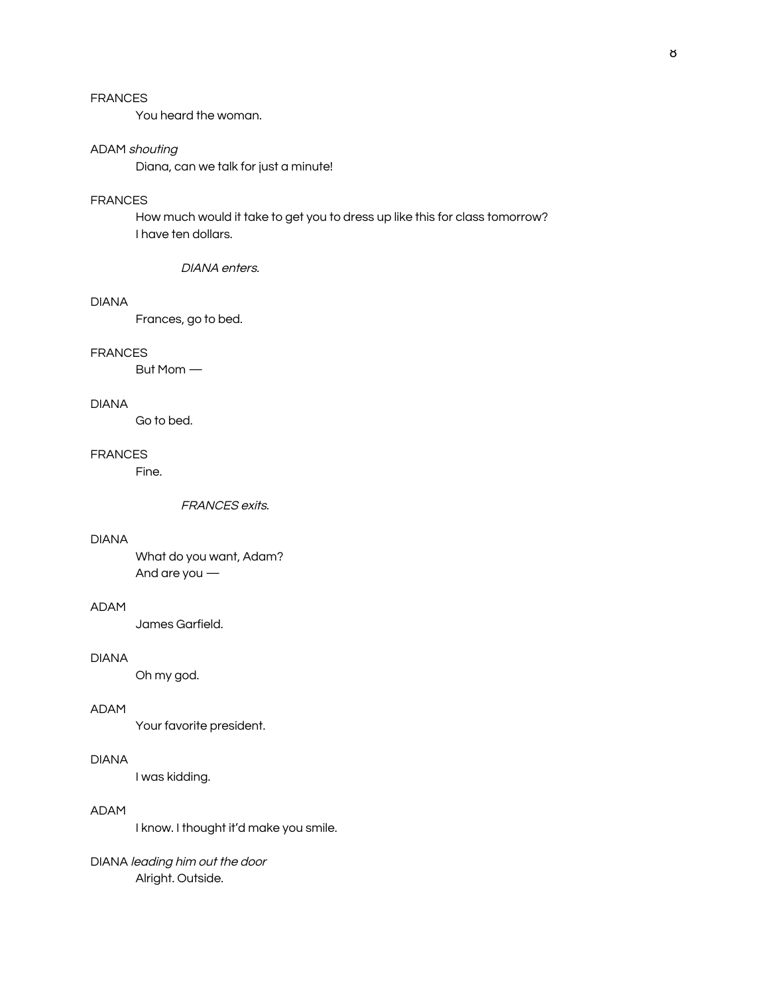You heard the woman.

## **ADAM** shouting

Diana, can we talk for just a minute!

## **FRANCES**

How much would it take to get you to dress up like this for class tomorrow? I have ten dollars.

DIANA enters.

#### **DIANA**

Frances, go to bed.

#### **FRANCES**

But Mom -

## **DIANA**

Go to bed.

#### **FRANCES**

Fine.

**FRANCES** exits.

# **DIANA**

What do you want, Adam? And are you  $-$ 

#### **ADAM**

James Garfield.

## **DIANA**

Oh my god.

#### ADAM

Your favorite president.

# **DIANA**

I was kidding.

## **ADAM**

I know. I thought it'd make you smile.

# DIANA leading him out the door Alright. Outside.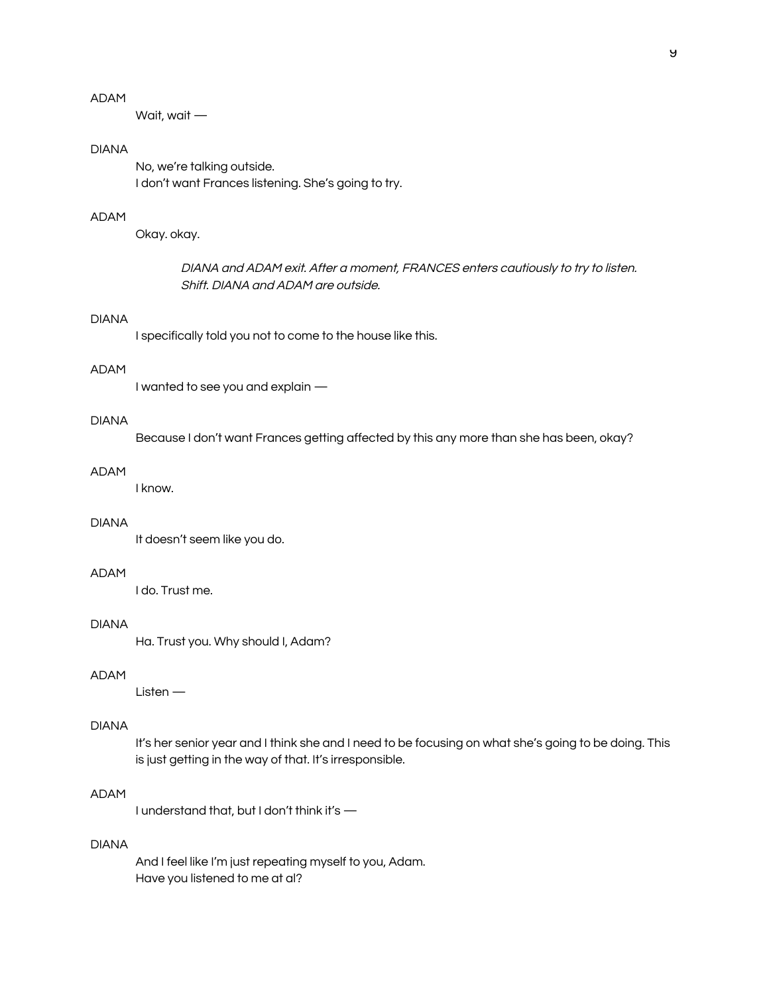Wait, wait -

## **DIANA**

No, we're talking outside. I don't want Frances listening. She's going to try.

# **ADAM**

Okay. okay.

DIANA and ADAM exit. After a moment, FRANCES enters cautiously to try to listen. Shift, DIANA and ADAM are outside.

# **DIANA**

I specifically told you not to come to the house like this.

## **ADAM**

I wanted to see you and explain -

## **DIANA**

Because I don't want Frances getting affected by this any more than she has been, okay?

#### **ADAM**

I know.

## **DIANA**

It doesn't seem like you do.

## **ADAM**

I do. Trust me.

#### **DIANA**

Ha. Trust you. Why should I, Adam?

#### **ADAM**

 $Listen$  —

# **DIANA**

It's her senior year and I think she and I need to be focusing on what she's going to be doing. This is just getting in the way of that. It's irresponsible.

## **ADAM**

I understand that, but I don't think it's -

## **DIANA**

And I feel like I'm just repeating myself to you, Adam. Have you listened to me at al?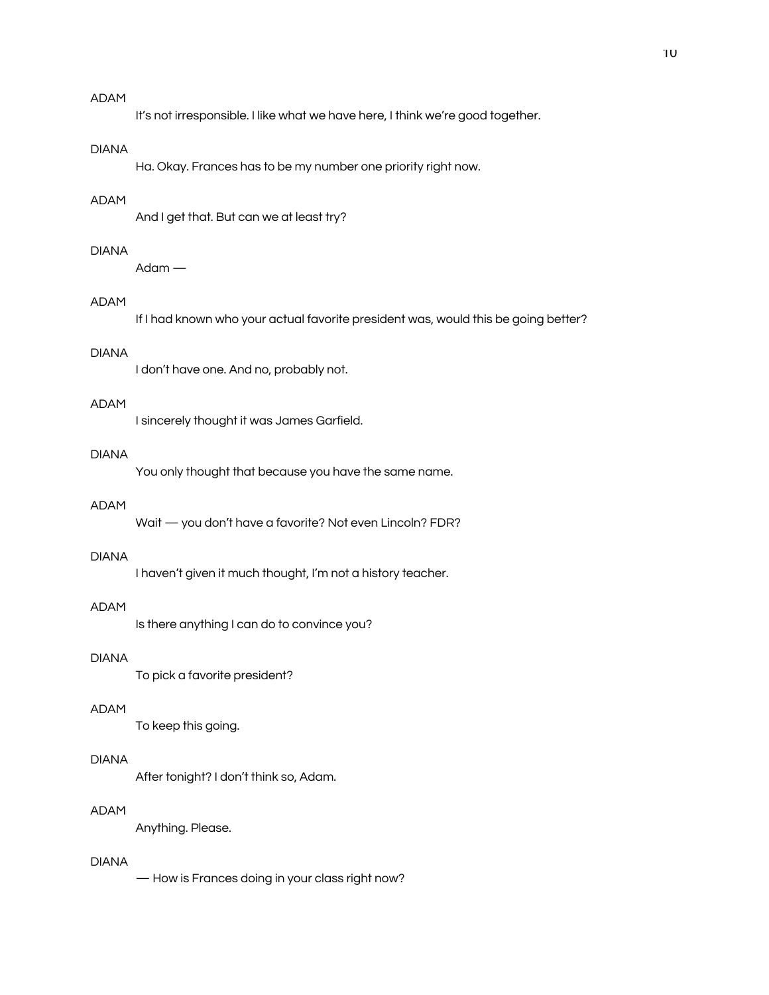It's not irresponsible. I like what we have here, I think we're good together.

## **DIANA**

Ha. Okay. Frances has to be my number one priority right now.

# **ADAM**

And I get that. But can we at least try?

#### **DIANA**

 $Adam -$ 

## **ADAM**

If I had known who your actual favorite president was, would this be going better?

## **DIANA**

I don't have one. And no, probably not.

# **ADAM**

I sincerely thought it was James Garfield.

#### **DIANA**

You only thought that because you have the same name.

# **ADAM**

Wait - you don't have a favorite? Not even Lincoln? FDR?

#### **DIANA**

I haven't given it much thought, I'm not a history teacher.

#### **ADAM**

Is there anything I can do to convince you?

## **DIANA**

To pick a favorite president?

#### **ADAM**

To keep this going.

## **DIANA**

After tonight? I don't think so, Adam.

# **ADAM**

Anything. Please.

#### **DIANA**

- How is Frances doing in your class right now?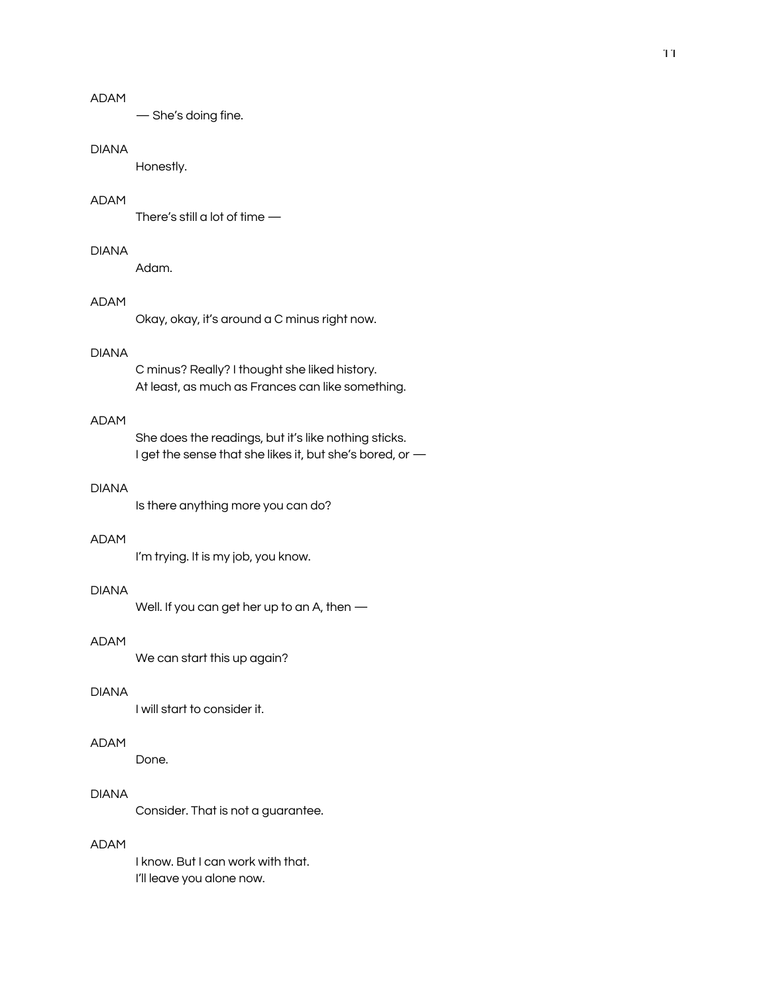-She's doing fine.

## **DIANA**

Honestly.

# **ADAM**

There's still a lot of time  $-$ 

## **DIANA**

Adam.

# **ADAM**

Okay, okay, it's around a C minus right now.

## **DIANA**

C minus? Really? I thought she liked history. At least, as much as Frances can like something.

## ADAM

She does the readings, but it's like nothing sticks. I get the sense that she likes it, but she's bored, or -

## **DIANA**

Is there anything more you can do?

# **ADAM**

I'm trying. It is my job, you know.

## **DIANA**

Well. If you can get her up to an A, then  $-$ 

## **ADAM**

We can start this up again?

# **DIANA**

I will start to consider it.

#### **ADAM**

Done.

## **DIANA**

Consider. That is not a guarantee.

## **ADAM**

I know. But I can work with that. I'll leave you alone now.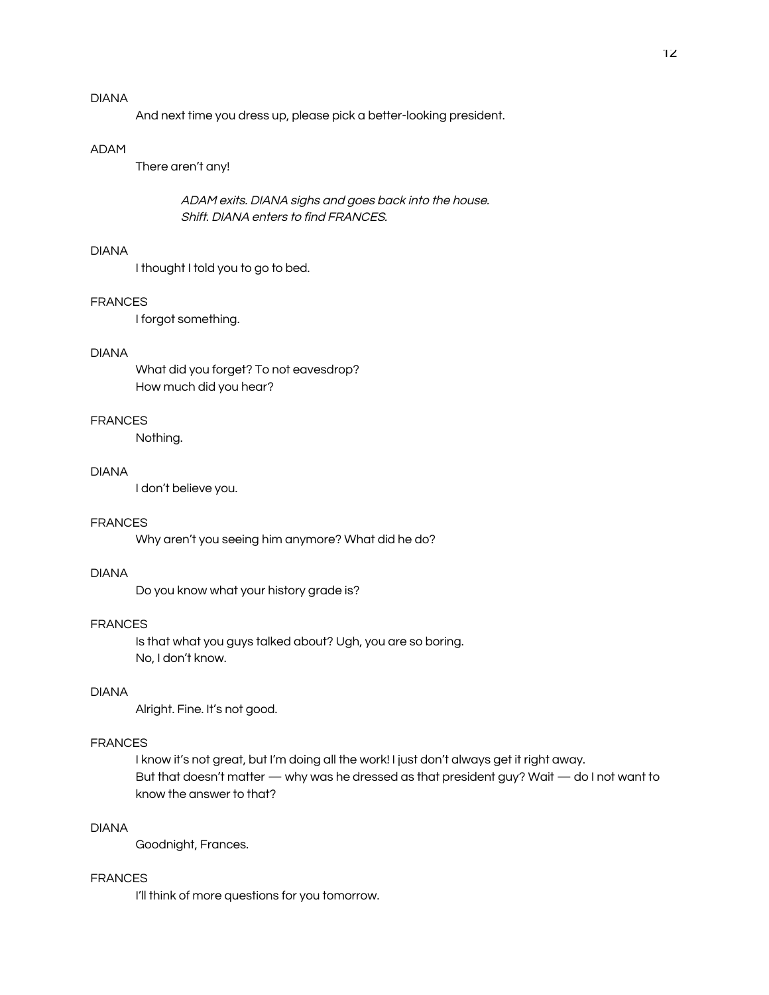And next time you dress up, please pick a better-looking president.

#### **ADAM**

There aren't any!

ADAM exits. DIANA sighs and goes back into the house. Shift. DIANA enters to find FRANCES.

## **DIANA**

I thought I told you to go to bed.

#### **FRANCES**

I forgot something.

## **DIANA**

What did you forget? To not eavesdrop? How much did you hear?

#### **FRANCES**

Nothing.

## **DIANA**

I don't believe you.

#### **FRANCES**

Why aren't you seeing him anymore? What did he do?

### **DIANA**

Do you know what your history grade is?

#### **FRANCES**

Is that what you guys talked about? Ugh, you are so boring. No, I don't know.

# **DIANA**

Alright. Fine. It's not good.

#### **FRANCES**

I know it's not great, but I'm doing all the work! I just don't always get it right away. But that doesn't matter — why was he dressed as that president guy? Wait — do I not want to know the answer to that?

## **DIANA**

Goodnight, Frances.

# **FRANCES**

I'll think of more questions for you tomorrow.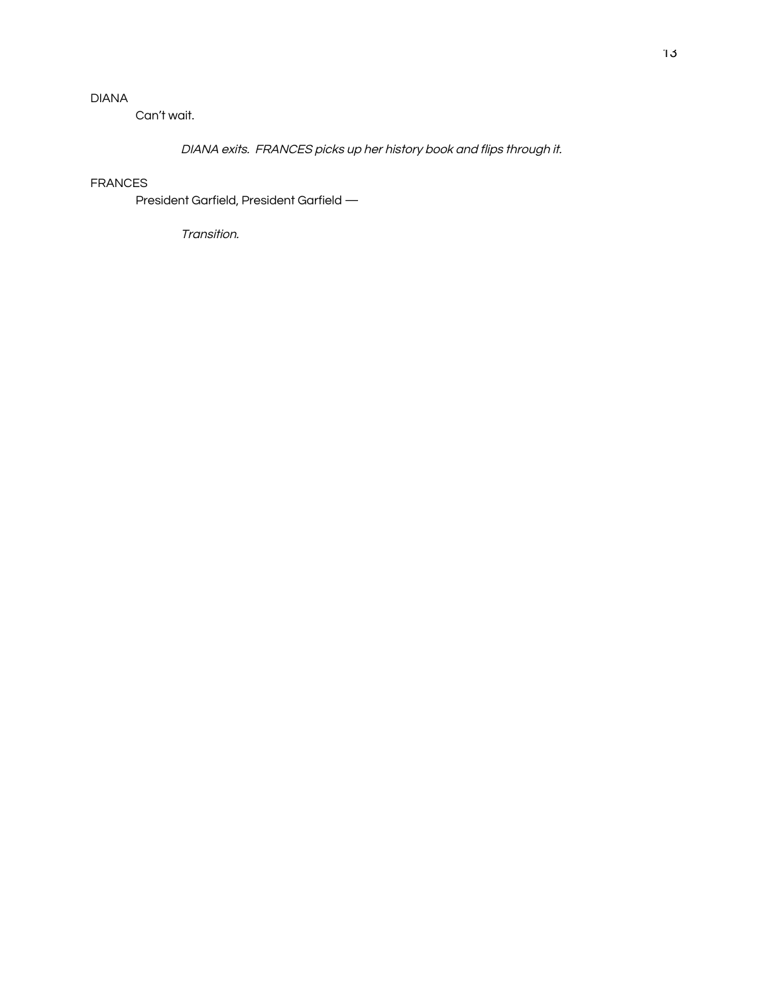Can't wait.

DIANA exits. FRANCES picks up her history book and flips through it.

## **FRANCES**

President Garfield, President Garfield -

Transition.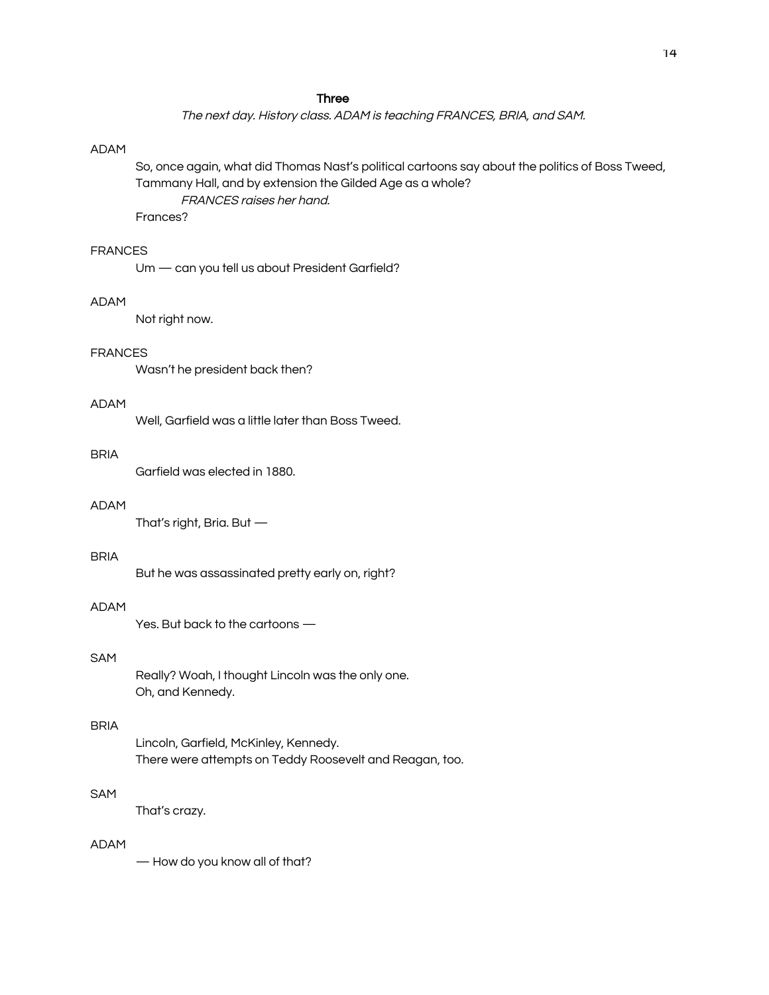The next day. History class. ADAM is teaching FRANCES, BRIA, and SAM.

## **ADAM**

So, once again, what did Thomas Nast's political cartoons say about the politics of Boss Tweed, Tammany Hall, and by extension the Gilded Age as a whole? FRANCES raises her hand.

Frances?

# **FRANCES**

Um - can you tell us about President Garfield?

#### **ADAM**

Not right now.

## **FRANCES**

Wasn't he president back then?

# **ADAM**

Well, Garfield was a little later than Boss Tweed.

#### **BRIA**

Garfield was elected in 1880.

# **ADAM**

That's right, Bria. But -

# **BRIA**

But he was assassinated pretty early on, right?

#### **ADAM**

Yes. But back to the cartoons  $-$ 

# **SAM**

Really? Woah, I thought Lincoln was the only one. Oh, and Kennedy.

#### **BRIA**

Lincoln, Garfield, McKinley, Kennedy. There were attempts on Teddy Roosevelt and Reagan, too.

#### **SAM**

That's crazy.

## **ADAM**

- How do you know all of that?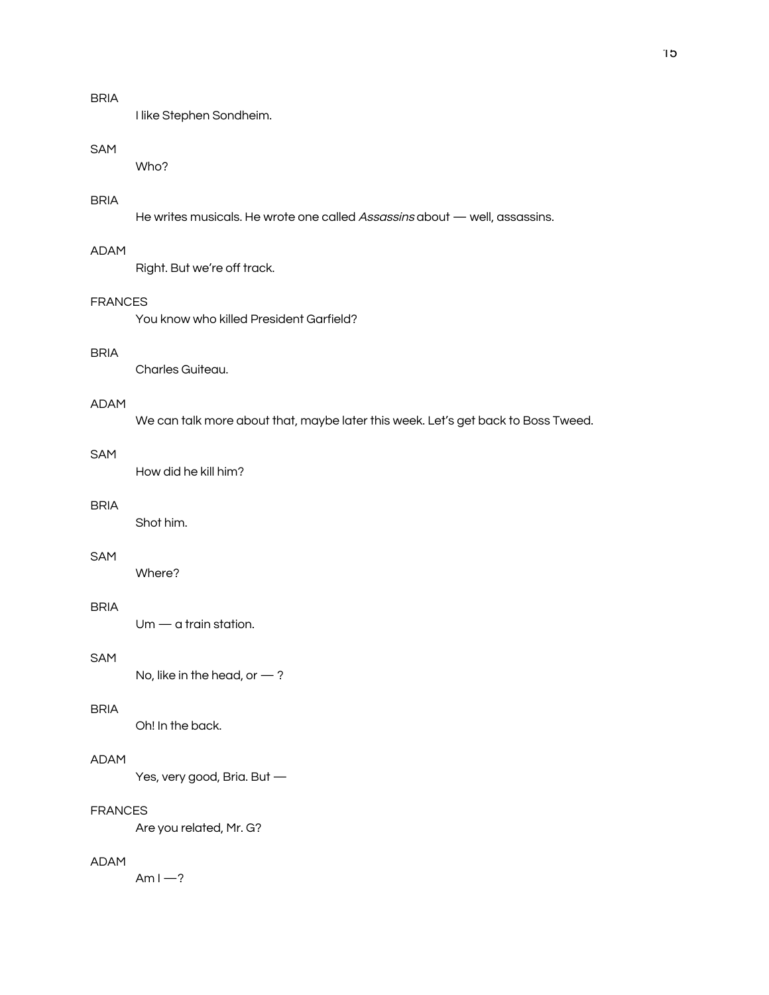# **BRIA**

I like Stephen Sondheim.

# **SAM**

Who?

# **BRIA**

He writes musicals. He wrote one called Assassins about - well, assassins.

# **ADAM**

Right. But we're off track.

#### **FRANCES**

You know who killed President Garfield?

#### **BRIA**

Charles Guiteau.

# **ADAM**

We can talk more about that, maybe later this week. Let's get back to Boss Tweed.

#### **SAM**

How did he kill him?

# **BRIA**

Shot him.

# SAM

Where?

# **BRIA**

 $Um - q train station$ .

# SAM

No, like in the head, or  $-$  ?

# **BRIA**

Oh! In the back.

# ADAM

Yes, very good, Bria. But -

# **FRANCES**

Are you related, Mr. G?

#### ADAM

Am  $1 - ?$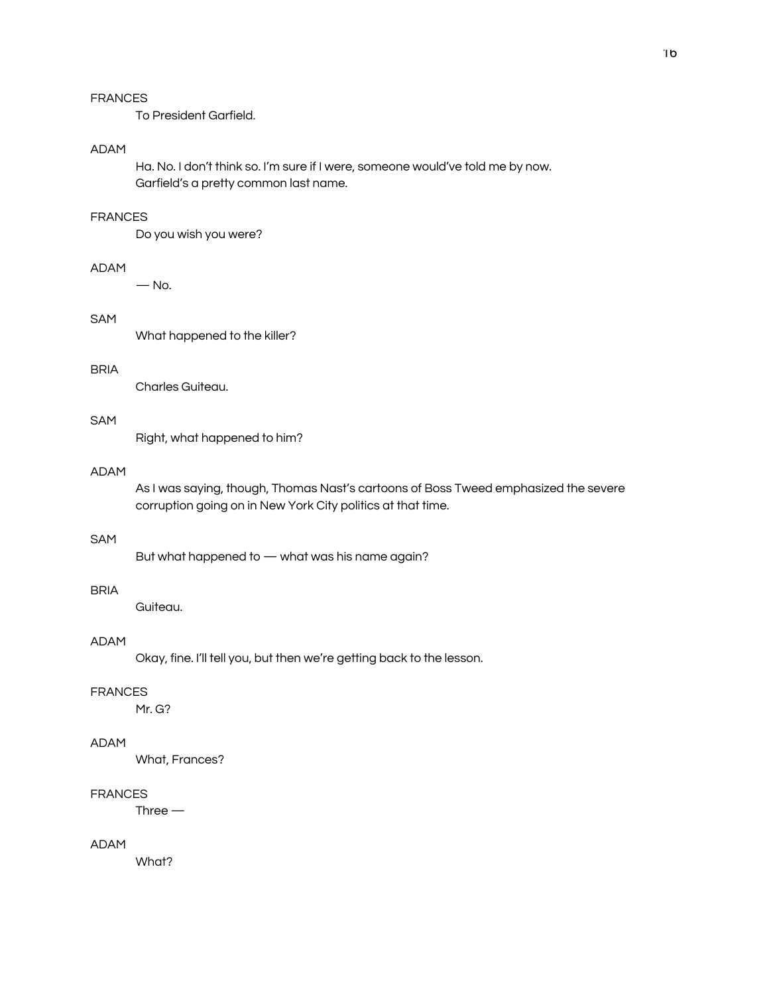To President Garfield.

## **ADAM**

Ha. No. I don't think so. I'm sure if I were, someone would've told me by now. Garfield's a pretty common last name.

## **FRANCES**

Do you wish you were?

#### **ADAM**

 $-$  No.

# **SAM**

What happened to the killer?

## **BRIA**

Charles Guiteau.

## SAM

Right, what happened to him?

# **ADAM**

As I was saying, though, Thomas Nast's cartoons of Boss Tweed emphasized the severe corruption going on in New York City politics at that time.

# SAM

But what happened to - what was his name again?

# **BRIA**

Guiteau.

## **ADAM**

Okay, fine. I'll tell you, but then we're getting back to the lesson.

# **FRANCES**

Mr. G?

#### **ADAM**

What, Frances?

#### **FRANCES**

Three $-$ 

## **ADAM**

What?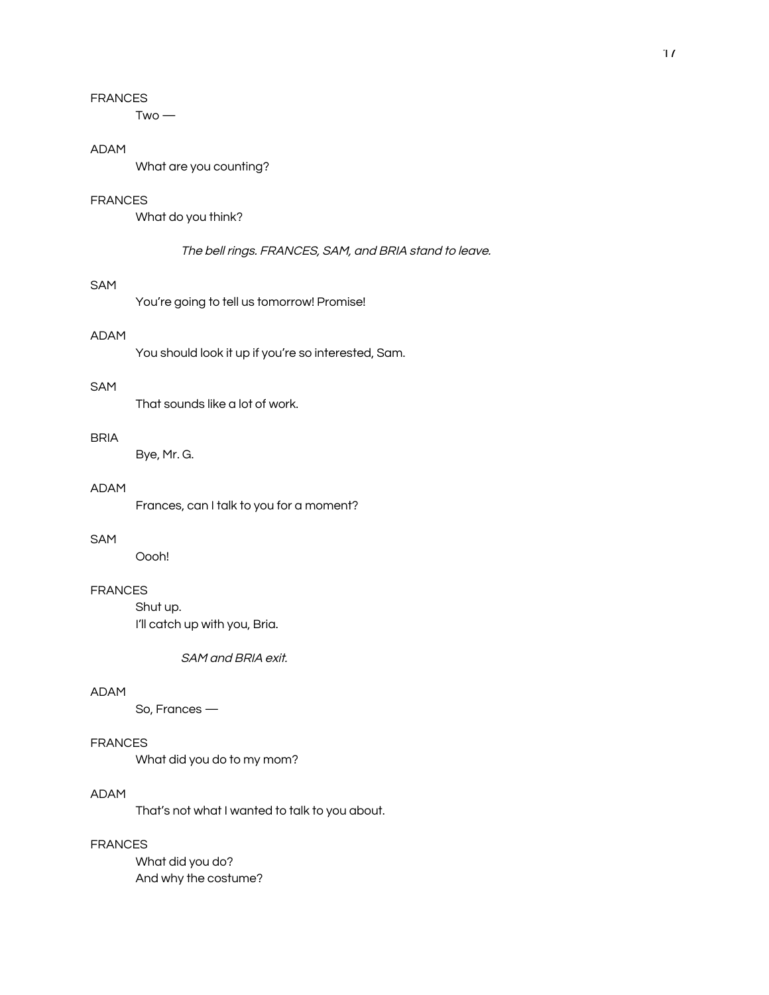$Two -$ 

## **ADAM**

What are you counting?

# **FRANCES**

What do you think?

The bell rings. FRANCES, SAM, and BRIA stand to leave.

# SAM

You're going to tell us tomorrow! Promise!

#### ADAM

You should look it up if you're so interested, Sam.

## SAM

That sounds like a lot of work.

#### **BRIA**

Bye, Mr. G.

## **ADAM**

Frances, can I talk to you for a moment?

# SAM

Oooh!

# **FRANCES**

Shut up. I'll catch up with you, Bria.

SAM and BRIA exit.

# **ADAM**

So, Frances -

#### **FRANCES**

What did you do to my mom?

## **ADAM**

That's not what I wanted to talk to you about.

# **FRANCES**

What did you do? And why the costume?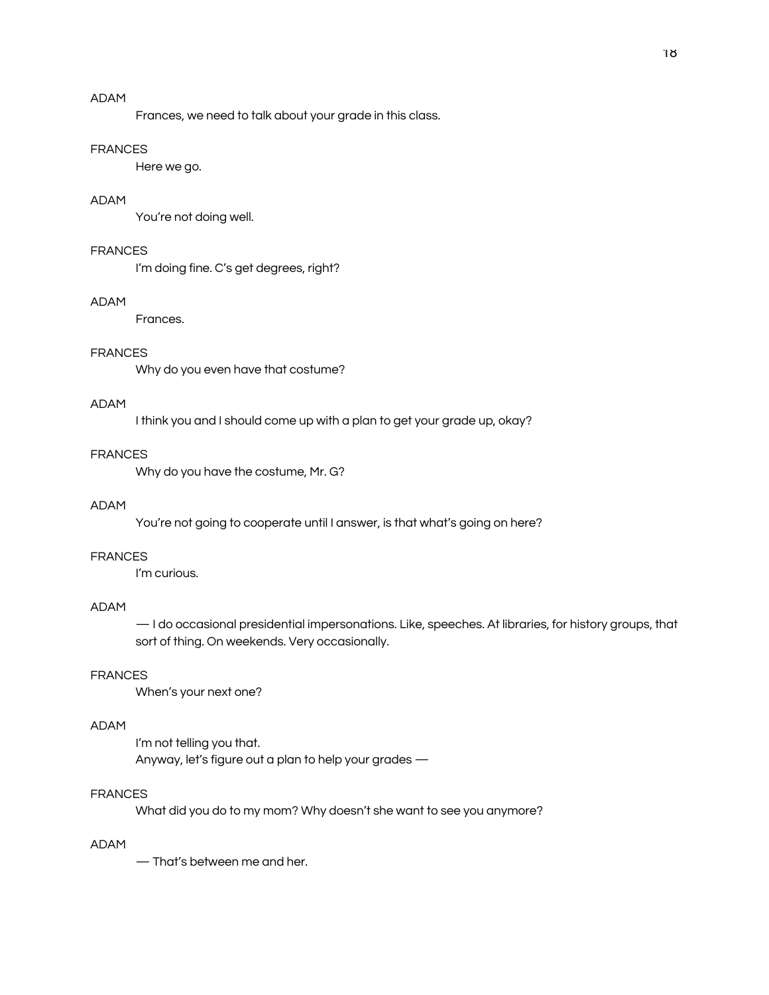Frances, we need to talk about your grade in this class.

#### **FRANCES**

Here we go.

# **ADAM**

You're not doing well.

# **FRANCES**

I'm doing fine. C's get degrees, right?

## **ADAM**

Frances.

# **FRANCES**

Why do you even have that costume?

## **ADAM**

I think you and I should come up with a plan to get your grade up, okay?

#### **FRANCES**

Why do you have the costume, Mr. G?

# **ADAM**

You're not going to cooperate until I answer, is that what's going on here?

# **FRANCES**

I'm curious.

## **ADAM**

- I do occasional presidential impersonations. Like, speeches. At libraries, for history groups, that sort of thing. On weekends. Very occasionally.

## **FRANCES**

When's your next one?

# **ADAM**

I'm not telling you that. Anyway, let's figure out a plan to help your grades -

#### **FRANCES**

What did you do to my mom? Why doesn't she want to see you anymore?

## **ADAM**

- That's between me and her.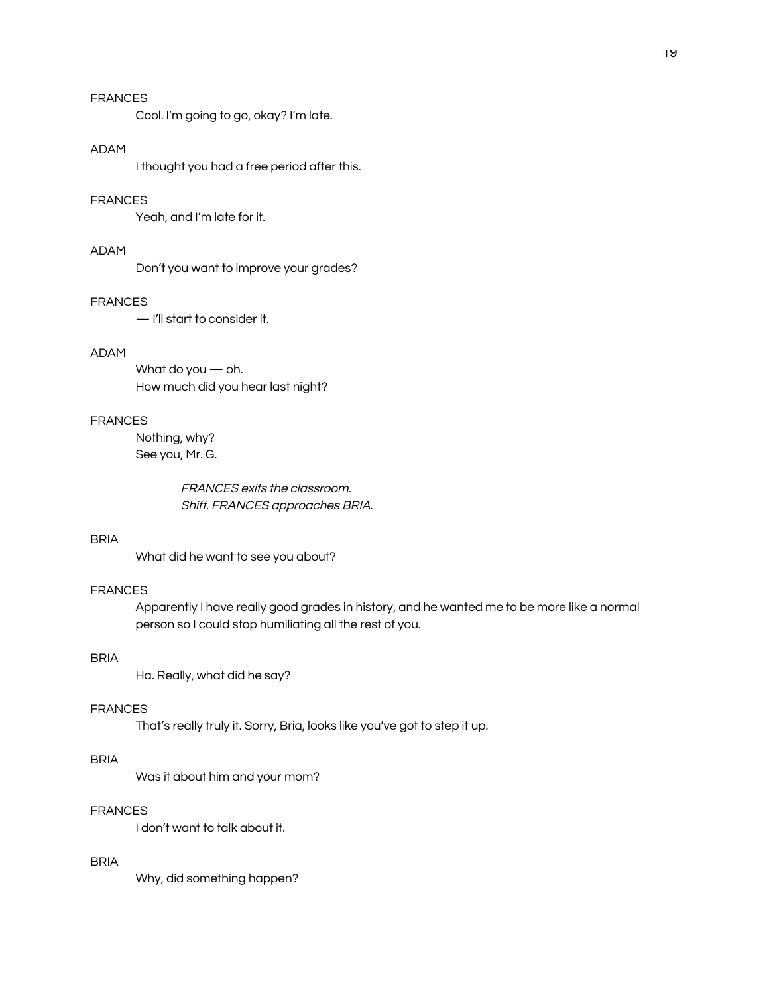Cool. I'm going to go, okay? I'm late.

#### **ADAM**

I thought you had a free period after this.

## **FRANCES**

Yeah, and I'm late for it.

# **ADAM**

Don't you want to improve your grades?

#### **FRANCES**

- I'll start to consider it.

## **ADAM**

What do you  $-$  oh. How much did you hear last night?

#### **FRANCES**

Nothing, why? See you, Mr. G.

> FRANCES exits the classroom. Shift. FRANCES approaches BRIA.

## **BRIA**

What did he want to see you about?

## **FRANCES**

Apparently I have really good grades in history, and he wanted me to be more like a normal person so I could stop humiliating all the rest of you.

# **BRIA**

Ha. Really, what did he say?

#### **FRANCES**

That's really truly it. Sorry, Bria, looks like you've got to step it up.

## **BRIA**

Was it about him and your mom?

## **FRANCES**

I don't want to talk about it.

#### **BRIA**

Why, did something happen?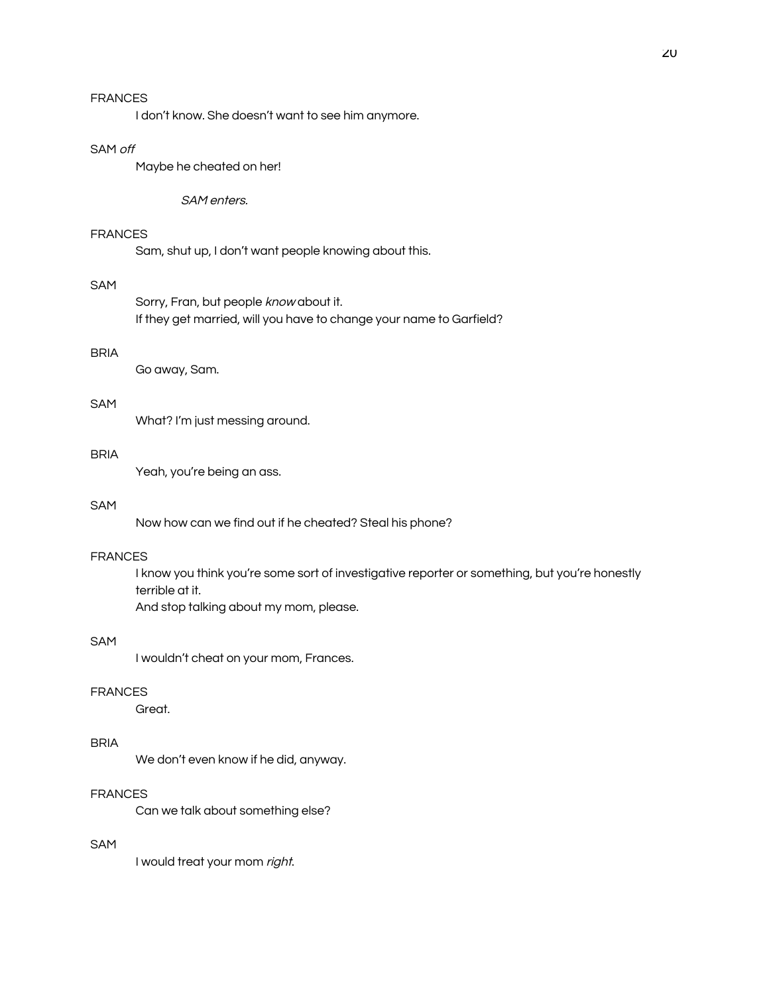I don't know. She doesn't want to see him anymore.

#### SAM off

Maybe he cheated on her!

# SAM enters.

#### **FRANCES**

Sam, shut up, I don't want people knowing about this.

## SAM

Sorry, Fran, but people know about it. If they get married, will you have to change your name to Garfield?

#### **BRIA**

Go away, Sam.

# **SAM**

What? I'm just messing around.

#### **BRIA**

Yeah, you're being an ass.

# **SAM**

Now how can we find out if he cheated? Steal his phone?

#### **FRANCES**

I know you think you're some sort of investigative reporter or something, but you're honestly terrible at it.

And stop talking about my mom, please.

## **SAM**

I wouldn't cheat on your mom, Frances.

# **FRANCES**

Great.

## **BRIA**

We don't even know if he did, anyway.

#### **FRANCES**

Can we talk about something else?

## SAM

I would treat your mom right.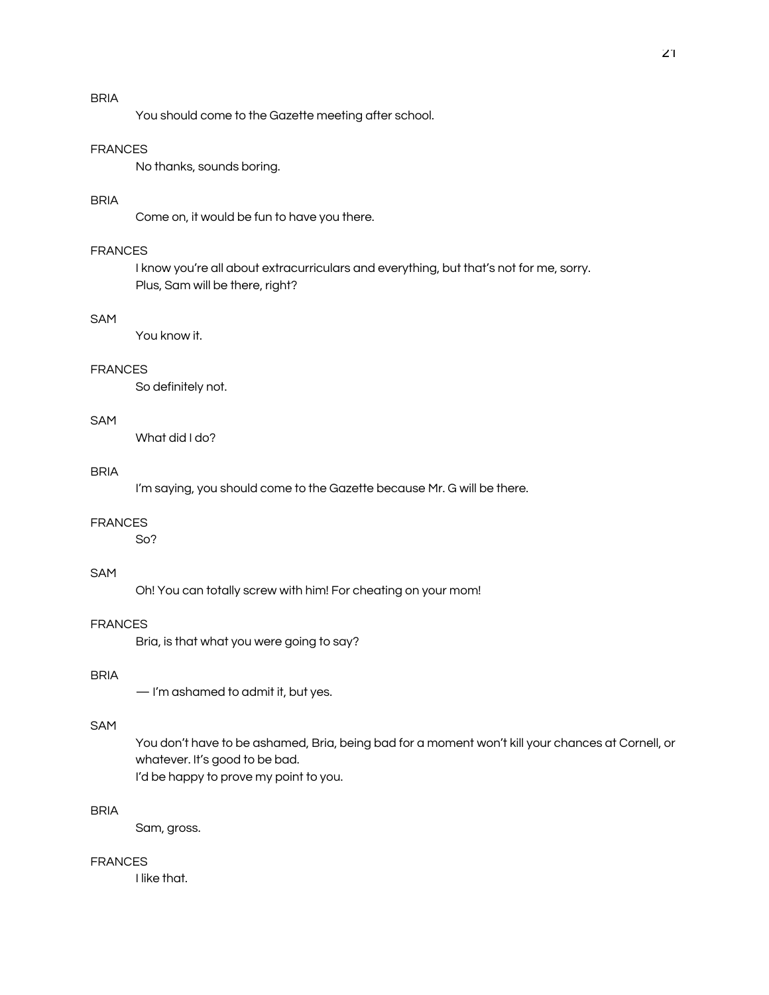# **BRIA**

You should come to the Gazette meeting after school.

#### **FRANCES**

No thanks, sounds boring.

# **BRIA**

Come on, it would be fun to have you there.

# **FRANCES**

I know you're all about extracurriculars and everything, but that's not for me, sorry. Plus, Sam will be there, right?

# **SAM**

You know it.

#### **FRANCES**

So definitely not.

# SAM

What did I do?

# **BRIA**

I'm saying, you should come to the Gazette because Mr. G will be there.

#### **FRANCES**

So?

## SAM

Oh! You can totally screw with him! For cheating on your mom!

#### **FRANCES**

Bria, is that what you were going to say?

## **BRIA**

- I'm ashamed to admit it, but yes.

#### SAM

You don't have to be ashamed, Bria, being bad for a moment won't kill your chances at Cornell, or whatever. It's good to be bad. I'd be happy to prove my point to you.

## **BRIA**

Sam, gross.

#### **FRANCES**

I like that.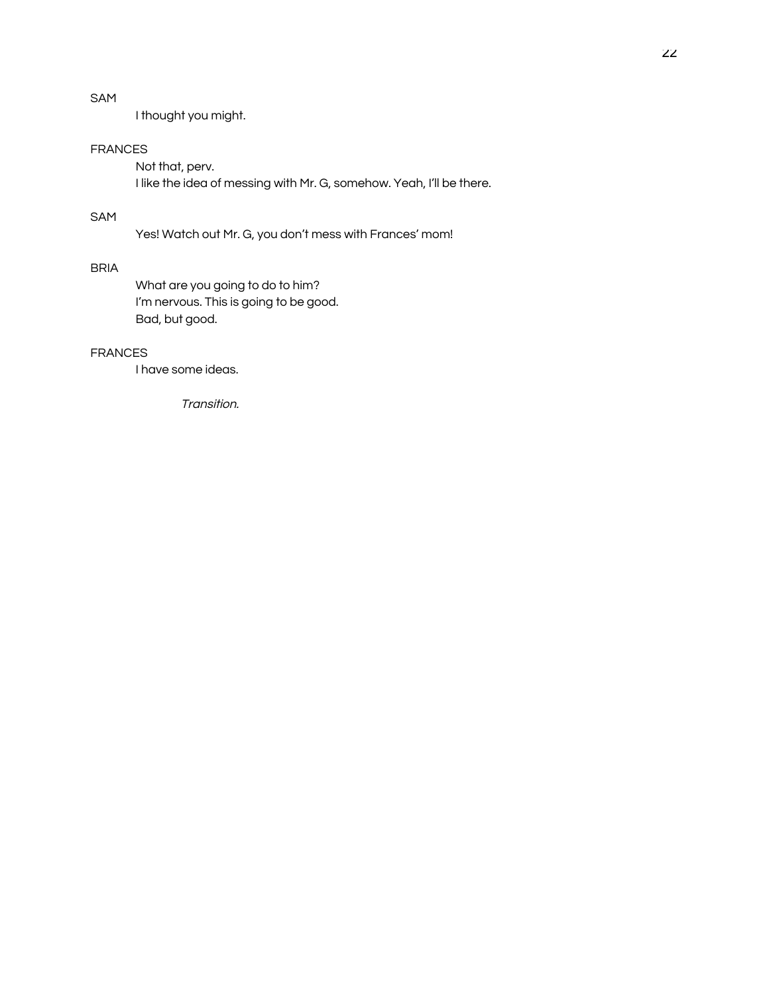# SAM

I thought you might.

# **FRANCES**

Not that, perv. I like the idea of messing with Mr. G, somehow. Yeah, I'll be there.

# SAM

Yes! Watch out Mr. G, you don't mess with Frances' mom!

## **BRIA**

What are you going to do to him? I'm nervous. This is going to be good. Bad, but good.

# **FRANCES**

I have some ideas.

Transition.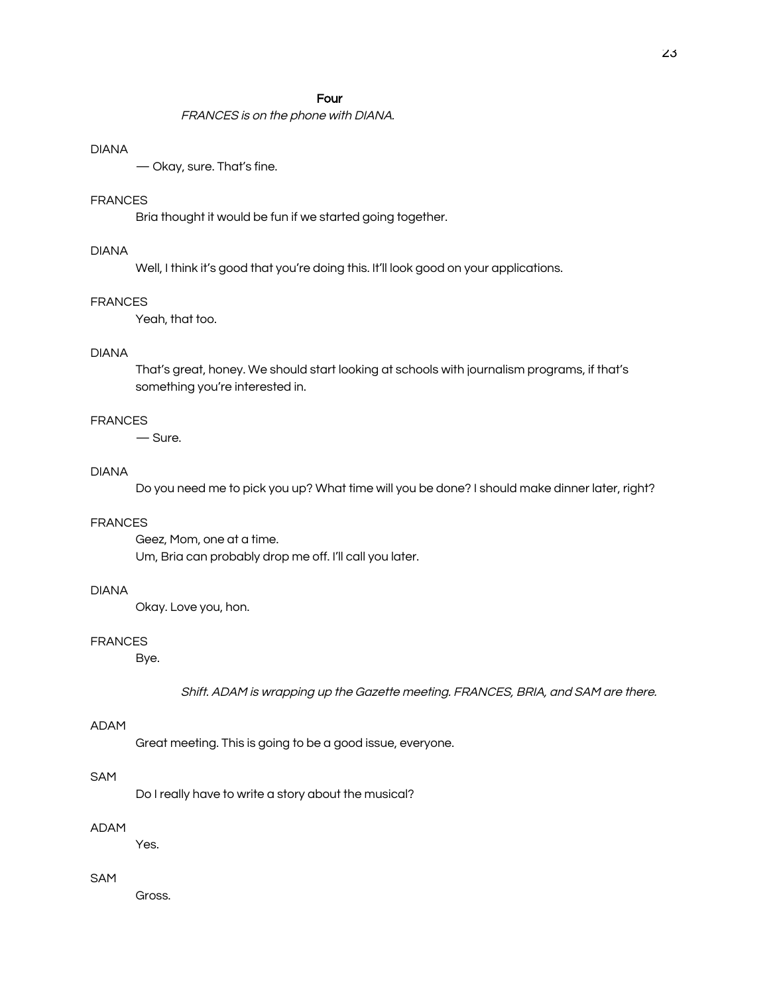#### Four

FRANCES is on the phone with DIANA.

#### **DIANA**

- Okay, sure. That's fine.

## **FRANCES**

Bria thought it would be fun if we started going together.

## **DIANA**

Well, I think it's good that you're doing this. It'll look good on your applications.

#### **FRANCES**

Yeah, that too.

# **DIANA**

That's great, honey. We should start looking at schools with journalism programs, if that's something you're interested in.

#### **FRANCES**

 $-$  Sure.

## **DIANA**

Do you need me to pick you up? What time will you be done? I should make dinner later, right?

#### **FRANCES**

Geez, Mom, one at a time. Um, Bria can probably drop me off. I'll call you later.

#### **DIANA**

Okay. Love you, hon.

#### **FRANCES**

Bye.

Shift. ADAM is wrapping up the Gazette meeting. FRANCES, BRIA, and SAM are there.

## **ADAM**

Great meeting. This is going to be a good issue, everyone.

#### **SAM**

Do I really have to write a story about the musical?

## **ADAM**

Yes.

#### SAM

Gross.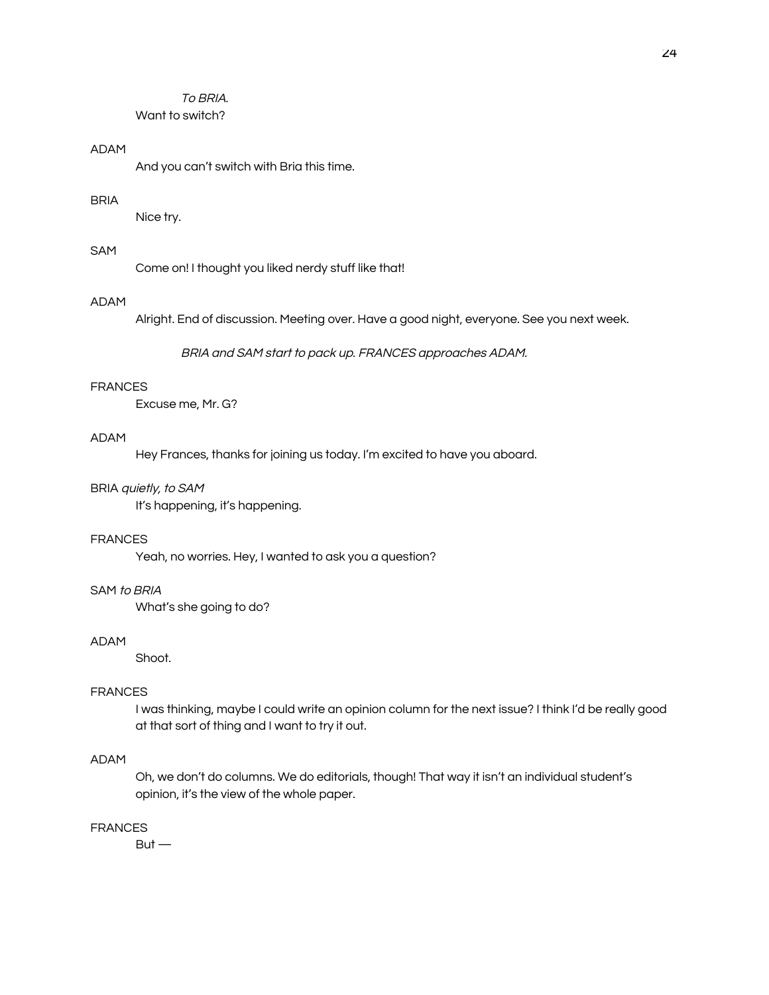## To BRIA. Want to switch?

#### **ADAM**

And you can't switch with Bria this time.

# **BRIA**

Nice try.

# **SAM**

Come on! I thought you liked nerdy stuff like that!

#### **ADAM**

Alright. End of discussion. Meeting over. Have a good night, everyone. See you next week.

BRIA and SAM start to pack up. FRANCES approaches ADAM.

## **FRANCES**

Excuse me, Mr. G?

#### **ADAM**

Hey Frances, thanks for joining us today. I'm excited to have you aboard.

#### BRIA quietly, to SAM

It's happening, it's happening.

## **FRANCES**

Yeah, no worries. Hey, I wanted to ask you a question?

## SAM to BRIA

What's she going to do?

## **ADAM**

Shoot.

# **FRANCES**

I was thinking, maybe I could write an opinion column for the next issue? I think I'd be really good at that sort of thing and I want to try it out.

# **ADAM**

Oh, we don't do columns. We do editorials, though! That way it isn't an individual student's opinion, it's the view of the whole paper.

#### **FRANCES**

 $But -$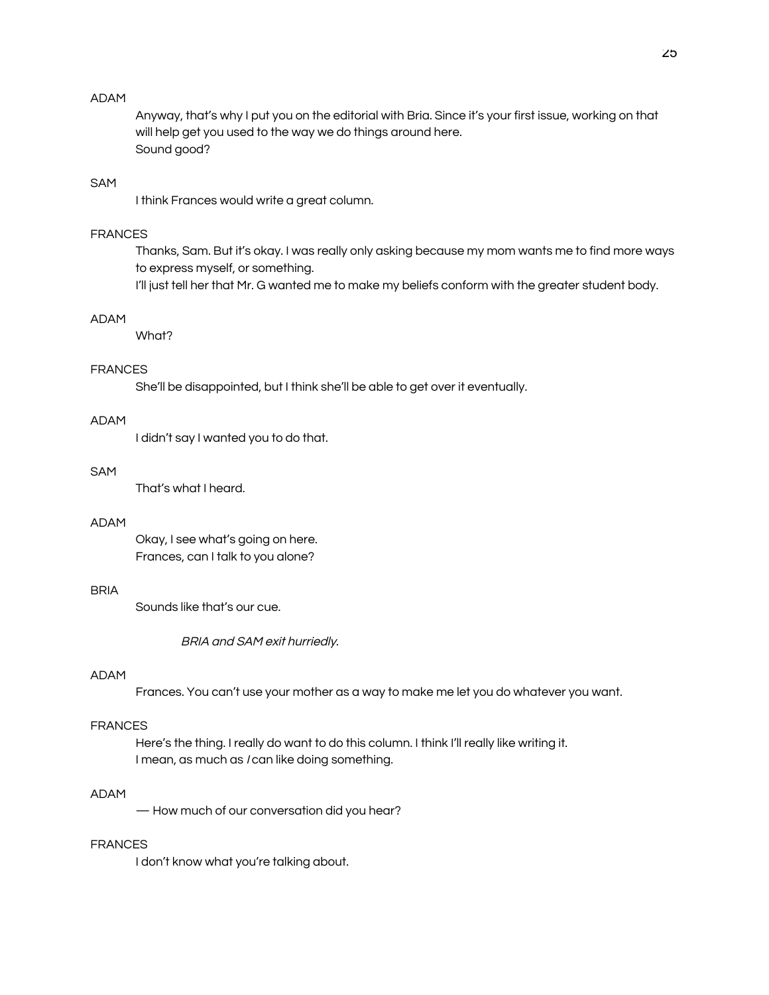Anyway, that's why I put you on the editorial with Bria. Since it's your first issue, working on that will help get you used to the way we do things around here. Sound good?

## **SAM**

I think Frances would write a great column.

## **FRANCES**

Thanks, Sam. But it's okay. I was really only asking because my mom wants me to find more ways to express myself, or something.

I'll just tell her that Mr. G wanted me to make my beliefs conform with the greater student body.

# **ADAM**

What?

## **FRANCES**

She'll be disappointed, but I think she'll be able to get over it eventually.

## **ADAM**

I didn't say I wanted you to do that.

### **SAM**

That's what I heard.

#### **ADAM**

Okay, I see what's going on here. Frances, can I talk to you alone?

## **BRIA**

Sounds like that's our cue.

BRIA and SAM exit hurriedly.

## **ADAM**

Frances. You can't use your mother as a way to make me let you do whatever you want.

# **FRANCES**

Here's the thing. I really do want to do this column. I think I'll really like writing it. I mean, as much as / can like doing something.

## **ADAM**

- How much of our conversation did you hear?

## **FRANCES**

I don't know what you're talking about.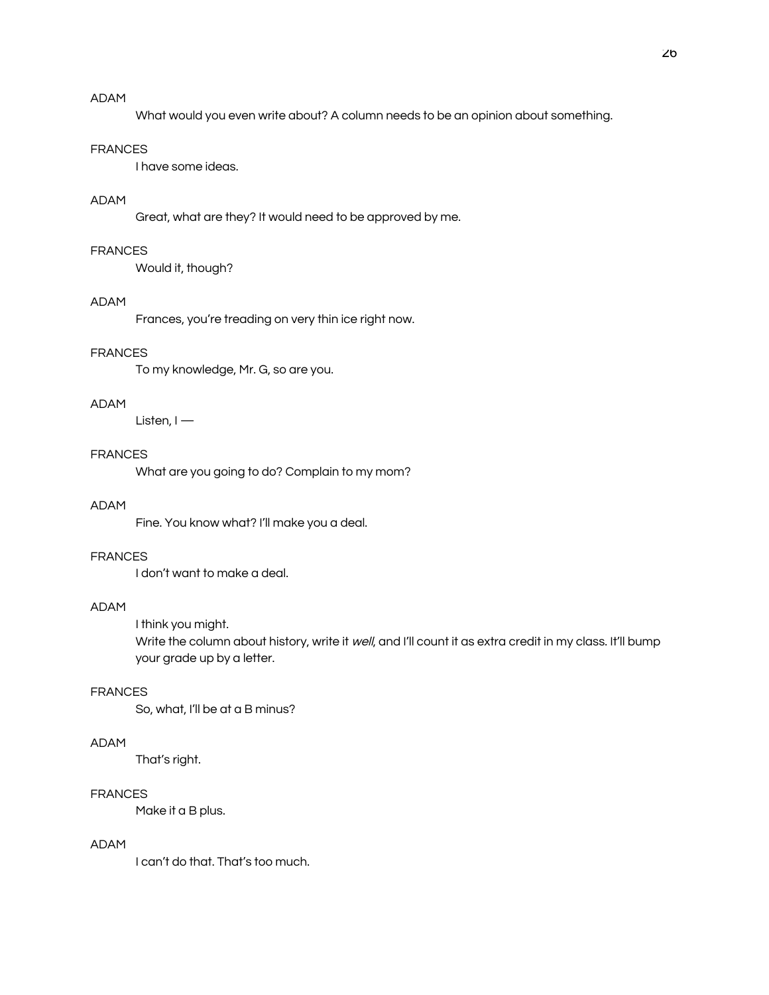What would you even write about? A column needs to be an opinion about something.

#### **FRANCES**

I have some ideas.

# **ADAM**

Great, what are they? It would need to be approved by me.

## **FRANCES**

Would it, though?

## **ADAM**

Frances, you're treading on very thin ice right now.

## **FRANCES**

To my knowledge, Mr. G, so are you.

# **ADAM**

Listen,  $I$  —

## **FRANCES**

What are you going to do? Complain to my mom?

# **ADAM**

Fine. You know what? I'll make you a deal.

# **FRANCES**

I don't want to make a deal.

#### **ADAM**

I think you might.

Write the column about history, write it well, and I'll count it as extra credit in my class. It'll bump your grade up by a letter.

# **FRANCES**

So, what, I'll be at a B minus?

#### **ADAM**

That's right.

#### **FRANCES**

Make it a B plus.

## **ADAM**

I can't do that. That's too much.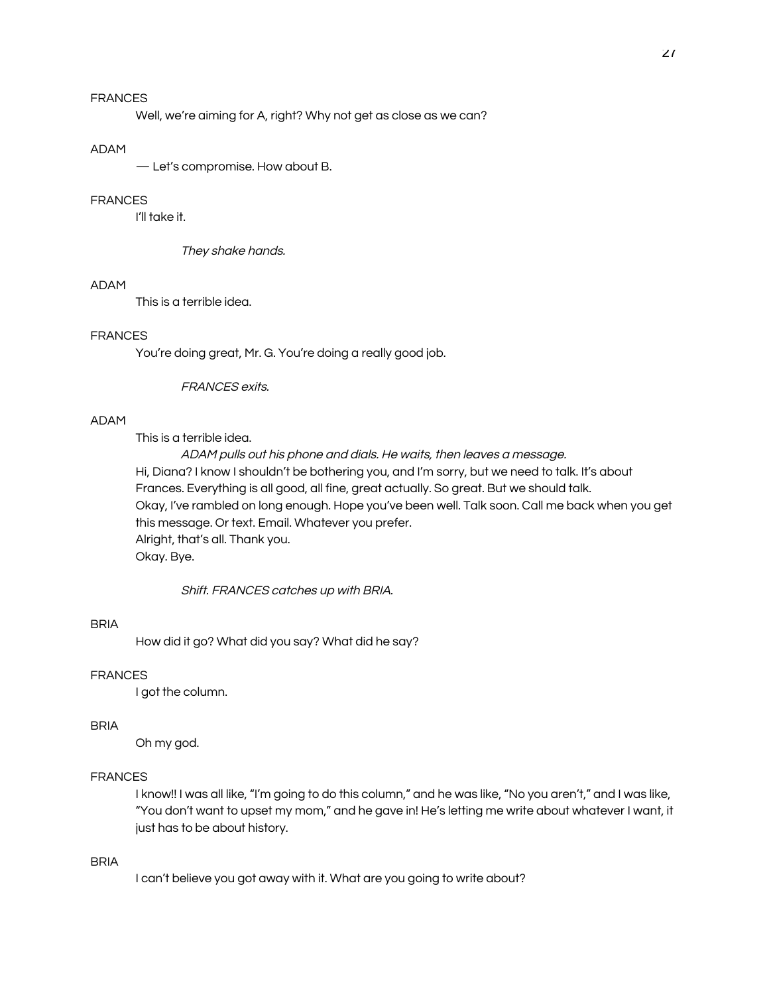Well, we're aiming for A, right? Why not get as close as we can?

#### **ADAM**

- Let's compromise. How about B.

# **FRANCES**

I'll take it.

They shake hands.

### **ADAM**

This is a terrible idea.

#### **FRANCES**

You're doing great, Mr. G. You're doing a really good job.

#### **FRANCES** exits.

#### **ADAM**

This is a terrible idea.

ADAM pulls out his phone and dials. He waits, then leaves a message. Hi, Diana? I know I shouldn't be bothering you, and I'm sorry, but we need to talk. It's about Frances. Everything is all good, all fine, great actually. So great. But we should talk. Okay, I've rambled on long enough. Hope you've been well. Talk soon. Call me back when you get this message. Or text. Email. Whatever you prefer. Alright, that's all. Thank you. Okay. Bye.

Shift. FRANCES catches up with BRIA.

#### **BRIA**

How did it go? What did you say? What did he say?

#### **FRANCES**

I got the column.

## **BRIA**

Oh my god.

## **FRANCES**

I know!! I was all like, "I'm going to do this column," and he was like, "No you aren't," and I was like, "You don't want to upset my mom," and he gave in! He's letting me write about whatever I want, it just has to be about history.

#### **BRIA**

I can't believe you got away with it. What are you going to write about?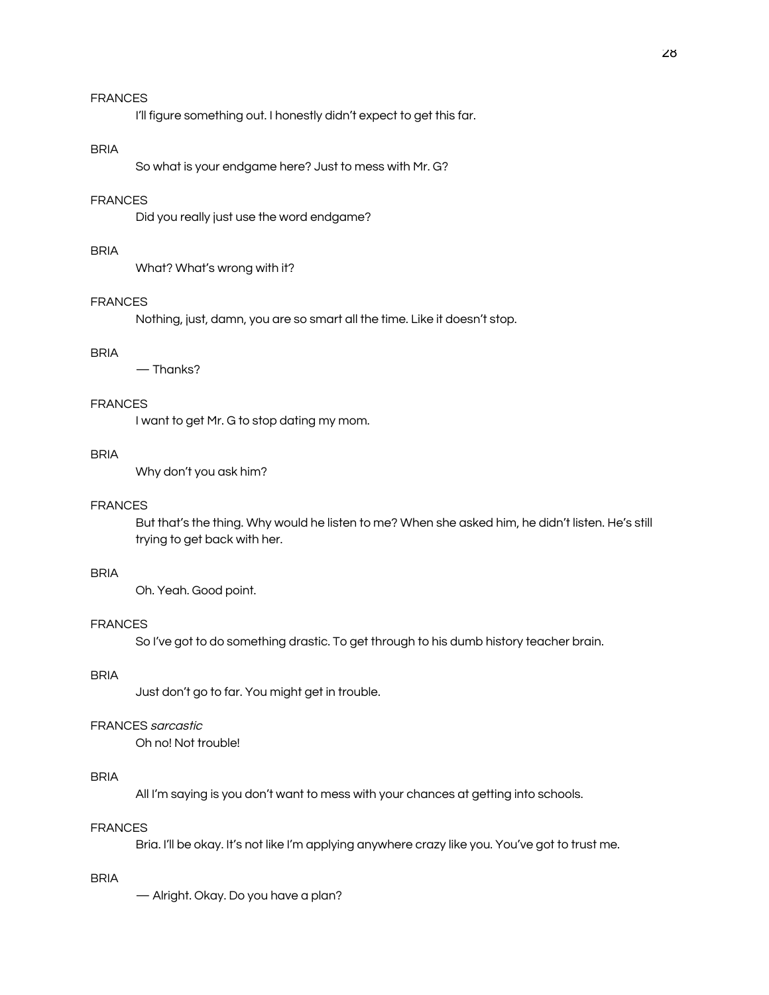I'll figure something out. I honestly didn't expect to get this far.

## **BRIA**

So what is your endgame here? Just to mess with Mr. G?

# **FRANCES**

Did you really just use the word endgame?

## **BRIA**

What? What's wrong with it?

#### **FRANCES**

Nothing, just, damn, you are so smart all the time. Like it doesn't stop.

## **BRIA**

 $-$ Thanks?

## **FRANCES**

I want to get Mr. G to stop dating my mom.

#### **BRIA**

Why don't you ask him?

# **FRANCES**

But that's the thing. Why would he listen to me? When she asked him, he didn't listen. He's still trying to get back with her.

## **BRIA**

Oh. Yeah. Good point.

#### **FRANCES**

So I've got to do something drastic. To get through to his dumb history teacher brain.

#### **BRIA**

Just don't go to far. You might get in trouble.

#### FRANCES sarcastic

Oh no! Not trouble!

## **BRIA**

All I'm saying is you don't want to mess with your chances at getting into schools.

#### **FRANCES**

Bria. I'll be okay. It's not like I'm applying anywhere crazy like you. You've got to trust me.

# **BRIA**

- Alright. Okay. Do you have a plan?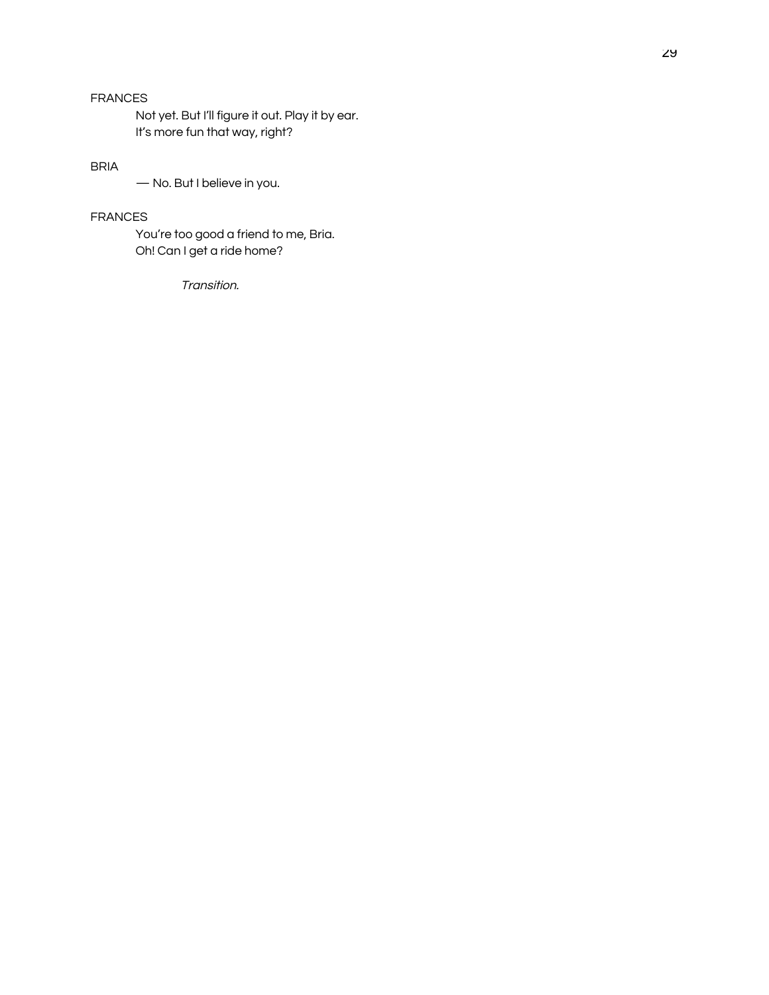Not yet. But I'll figure it out. Play it by ear. It's more fun that way, right?

# **BRIA**

- No. But I believe in you.

# **FRANCES**

You're too good a friend to me, Bria. Oh! Can I get a ride home?

Transition.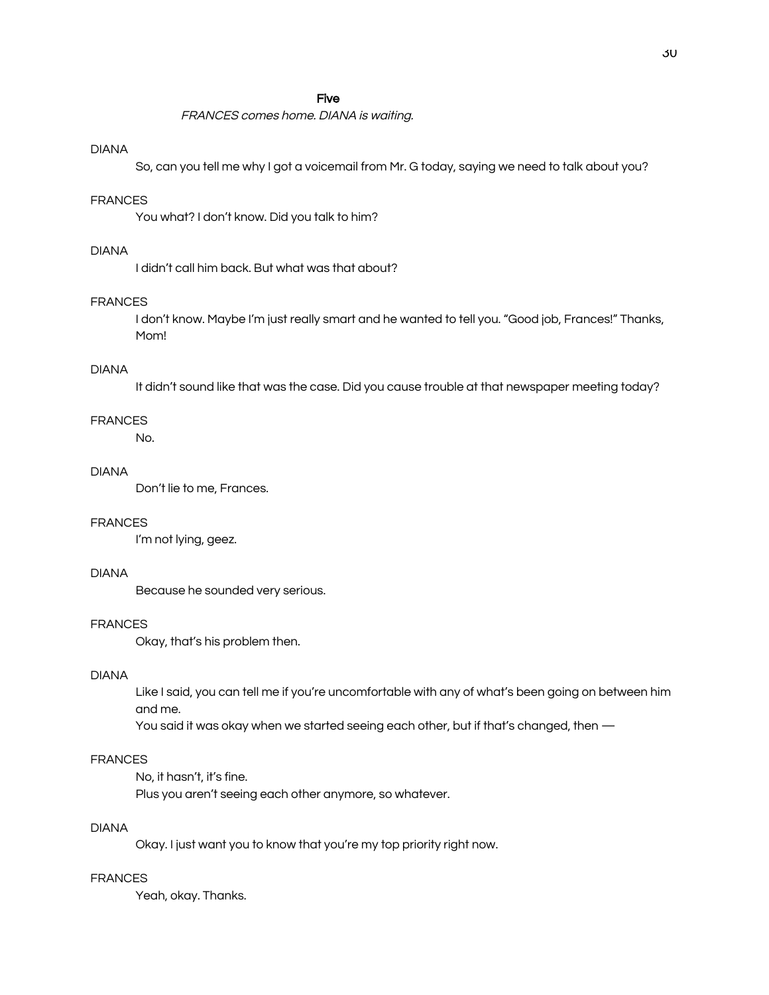#### **Five**

FRANCES comes home. DIANA is waiting.

## **DIANA**

So, can you tell me why I got a voicemail from Mr. G today, saying we need to talk about you?

## **FRANCES**

You what? I don't know. Did you talk to him?

## **DIANA**

I didn't call him back. But what was that about?

#### **FRANCES**

I don't know. Maybe I'm just really smart and he wanted to tell you. "Good job, Frances!" Thanks, Mom!

#### **DIANA**

It didn't sound like that was the case. Did you cause trouble at that newspaper meeting today?

#### **FRANCES**

No.

## **DIANA**

Don't lie to me, Frances.

#### **FRANCES**

I'm not lying, geez.

## **DIANA**

Because he sounded very serious.

#### **FRANCES**

Okay, that's his problem then.

#### **DIANA**

Like I said, you can tell me if you're uncomfortable with any of what's been going on between him and me.

You said it was okay when we started seeing each other, but if that's changed, then -

#### **FRANCES**

No, it hasn't, it's fine.

Plus you aren't seeing each other anymore, so whatever.

#### **DIANA**

Okay. I just want you to know that you're my top priority right now.

## **FRANCES**

Yeah, okay. Thanks.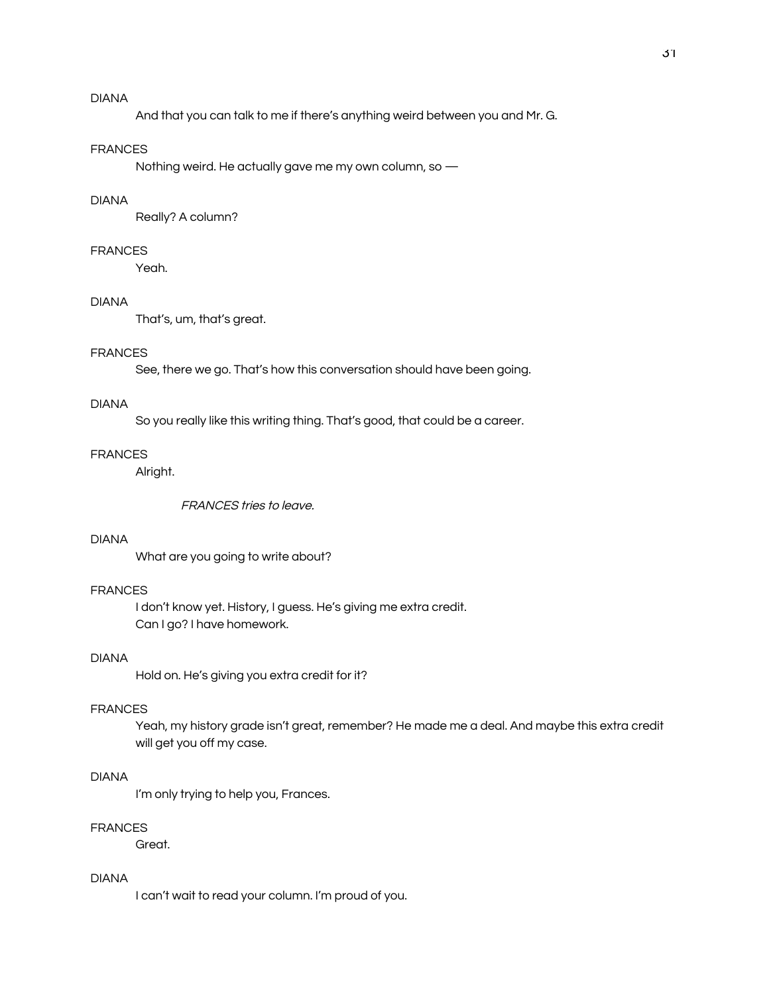And that you can talk to me if there's anything weird between you and Mr. G.

#### **FRANCES**

Nothing weird. He actually gave me my own column, so -

# **DIANA**

Really? A column?

# **FRANCES**

Yeah.

## **DIANA**

That's, um, that's great.

## **FRANCES**

See, there we go. That's how this conversation should have been going.

## **DIANA**

So you really like this writing thing. That's good, that could be a career.

#### **FRANCES**

Alright.

FRANCES tries to leave.

# **DIANA**

What are you going to write about?

#### **FRANCES**

I don't know yet. History, I guess. He's giving me extra credit. Can I go? I have homework.

# **DIANA**

Hold on. He's giving you extra credit for it?

#### **FRANCES**

Yeah, my history grade isn't great, remember? He made me a deal. And maybe this extra credit will get you off my case.

## **DIANA**

I'm only trying to help you, Frances.

#### **FRANCES**

Great.

# **DIANA**

I can't wait to read your column. I'm proud of you.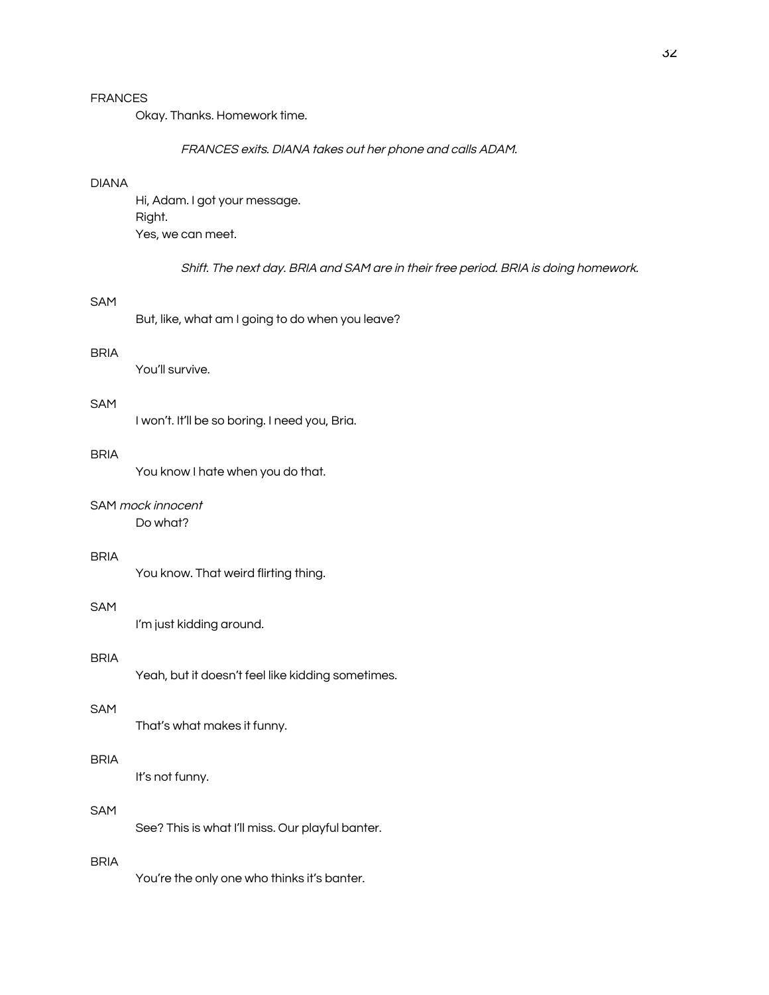Okay. Thanks. Homework time.

## FRANCES exits. DIANA takes out her phone and calls ADAM.

#### **DIANA**

Hi, Adam. I got your message. Right. Yes, we can meet.

Shift. The next day. BRIA and SAM are in their free period. BRIA is doing homework.

#### **SAM**

But, like, what am I going to do when you leave?

#### **BRIA**

You'll survive.

# **SAM**

I won't. It'll be so boring. I need you, Bria.

#### **BRIA**

You know I hate when you do that.

# SAM mock innocent

Do what?

## **BRIA**

You know. That weird flirting thing.

#### **SAM**

I'm just kidding around.

## **BRIA**

Yeah, but it doesn't feel like kidding sometimes.

#### SAM

That's what makes it funny.

# **BRIA**

It's not funny.

## **SAM**

See? This is what I'll miss. Our playful banter.

#### **BRIA**

You're the only one who thinks it's banter.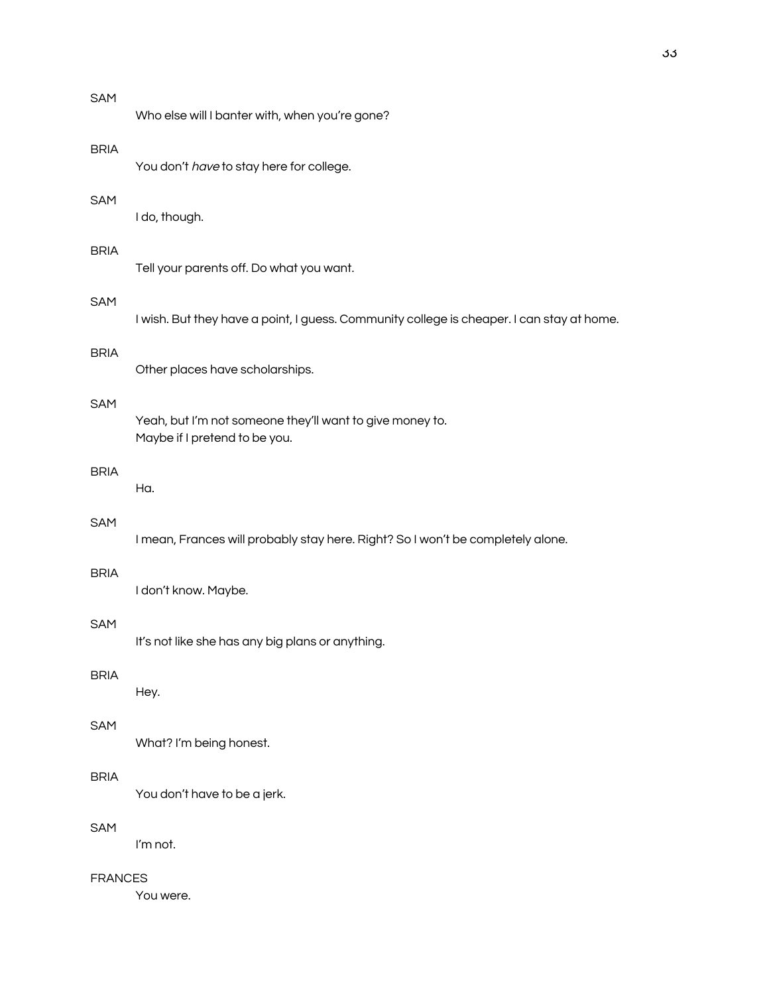| SAM         | Who else will I banter with, when you're gone?                                            |
|-------------|-------------------------------------------------------------------------------------------|
| <b>BRIA</b> | You don't have to stay here for college.                                                  |
| SAM         | I do, though.                                                                             |
| <b>BRIA</b> | Tell your parents off. Do what you want.                                                  |
| SAM         | I wish. But they have a point, I guess. Community college is cheaper. I can stay at home. |
| <b>BRIA</b> | Other places have scholarships.                                                           |
| <b>SAM</b>  | Yeah, but I'm not someone they'll want to give money to.<br>Maybe if I pretend to be you. |
| <b>BRIA</b> | Ha.                                                                                       |
| <b>SAM</b>  | I mean, Frances will probably stay here. Right? So I won't be completely alone.           |
| <b>BRIA</b> | I don't know. Maybe.                                                                      |
| SAM         | It's not like she has any big plans or anything.                                          |
| <b>BRIA</b> | Hey.                                                                                      |
| SAM         | What? I'm being honest.                                                                   |
| <b>BRIA</b> | You don't have to be a jerk.                                                              |
| SAM         | I'm not.                                                                                  |

You were.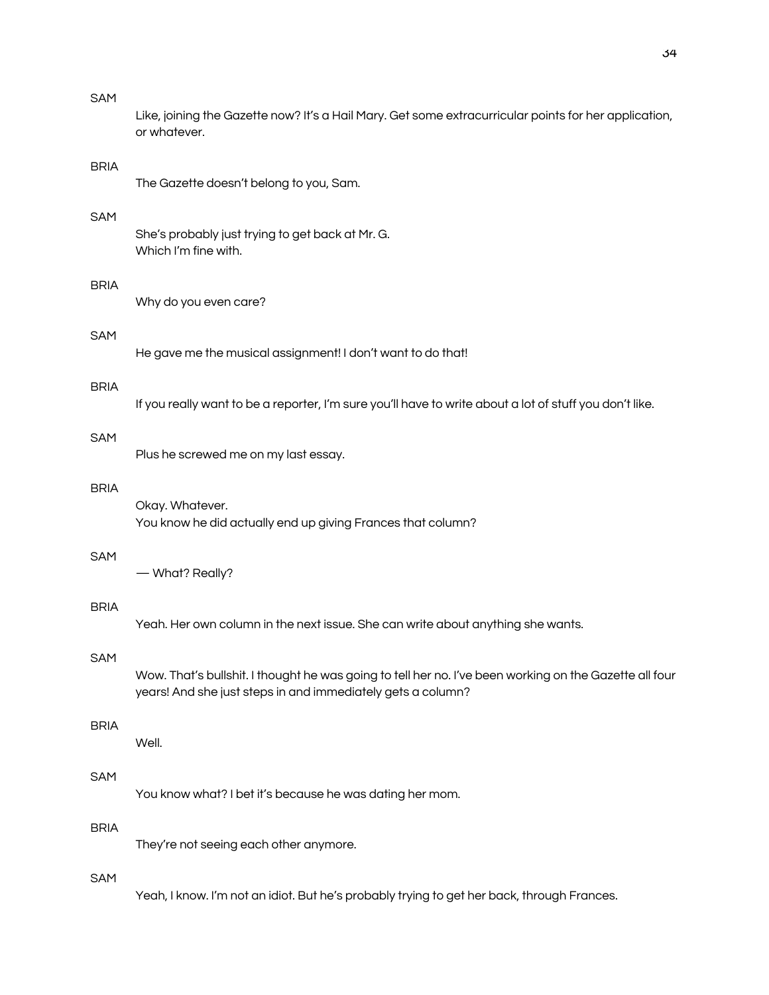## SAM

Like, joining the Gazette now? It's a Hail Mary. Get some extracurricular points for her application, or whatever.

# **BRIA**

The Gazette doesn't belong to you, Sam.

## **SAM**

She's probably just trying to get back at Mr. G. Which I'm fine with.

## **BRIA**

Why do you even care?

#### **SAM**

He gave me the musical assignment! I don't want to do that!

## **BRIA**

If you really want to be a reporter, I'm sure you'll have to write about a lot of stuff you don't like.

#### **SAM**

Plus he screwed me on my last essay.

#### **BRIA**

Okay. Whatever. You know he did actually end up giving Frances that column?

#### **SAM**

- What? Really?

## **BRIA**

Yeah. Her own column in the next issue. She can write about anything she wants.

# **SAM**

Wow. That's bullshit. I thought he was going to tell her no. I've been working on the Gazette all four years! And she just steps in and immediately gets a column?

#### **BRIA**

Well.

# **SAM**

You know what? I bet it's because he was dating her mom.

## **BRIA**

They're not seeing each other anymore.

# **SAM**

Yeah, I know. I'm not an idiot. But he's probably trying to get her back, through Frances.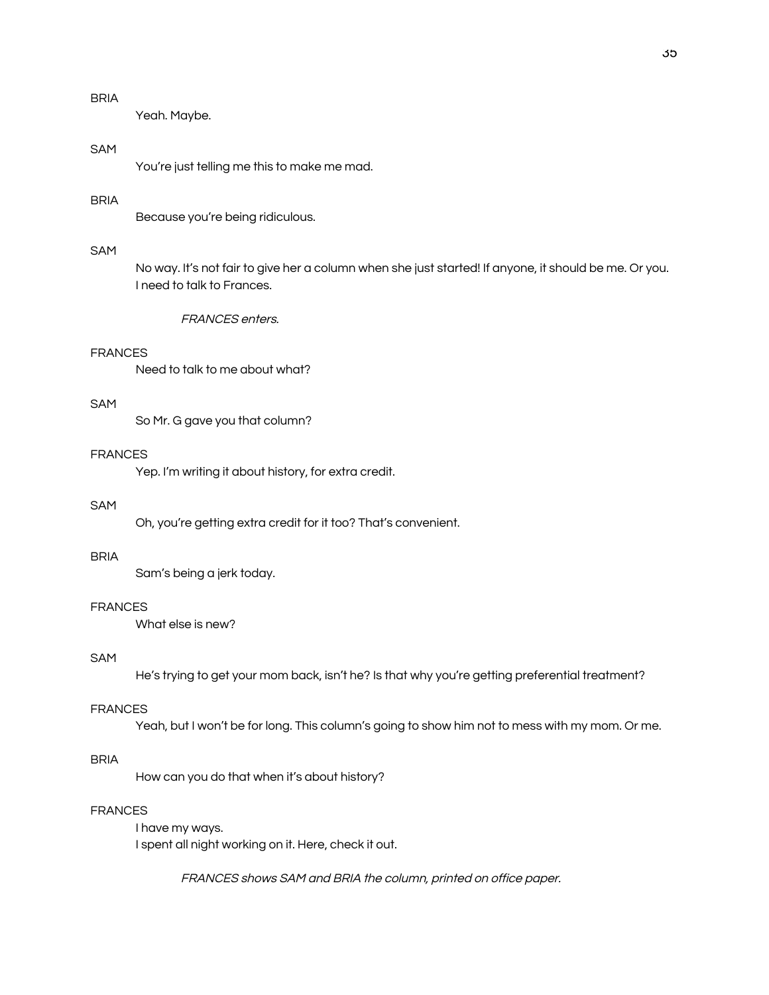# **BRIA**

Yeah. Maybe.

#### **SAM**

You're just telling me this to make me mad.

# **BRIA**

Because you're being ridiculous.

## **SAM**

No way. It's not fair to give her a column when she just started! If anyone, it should be me. Or you. I need to talk to Frances.

**FRANCES** enters.

## **FRANCES**

Need to talk to me about what?

# **SAM**

So Mr. G gave you that column?

#### **FRANCES**

Yep. I'm writing it about history, for extra credit.

# **SAM**

Oh, you're getting extra credit for it too? That's convenient.

# **BRIA**

Sam's being a jerk today.

#### **FRANCES**

What else is new?

# **SAM**

He's trying to get your mom back, isn't he? Is that why you're getting preferential treatment?

#### **FRANCES**

Yeah, but I won't be for long. This column's going to show him not to mess with my mom. Or me.

# **BRIA**

How can you do that when it's about history?

#### **FRANCES**

I have my ways. I spent all night working on it. Here, check it out.

FRANCES shows SAM and BRIA the column, printed on office paper.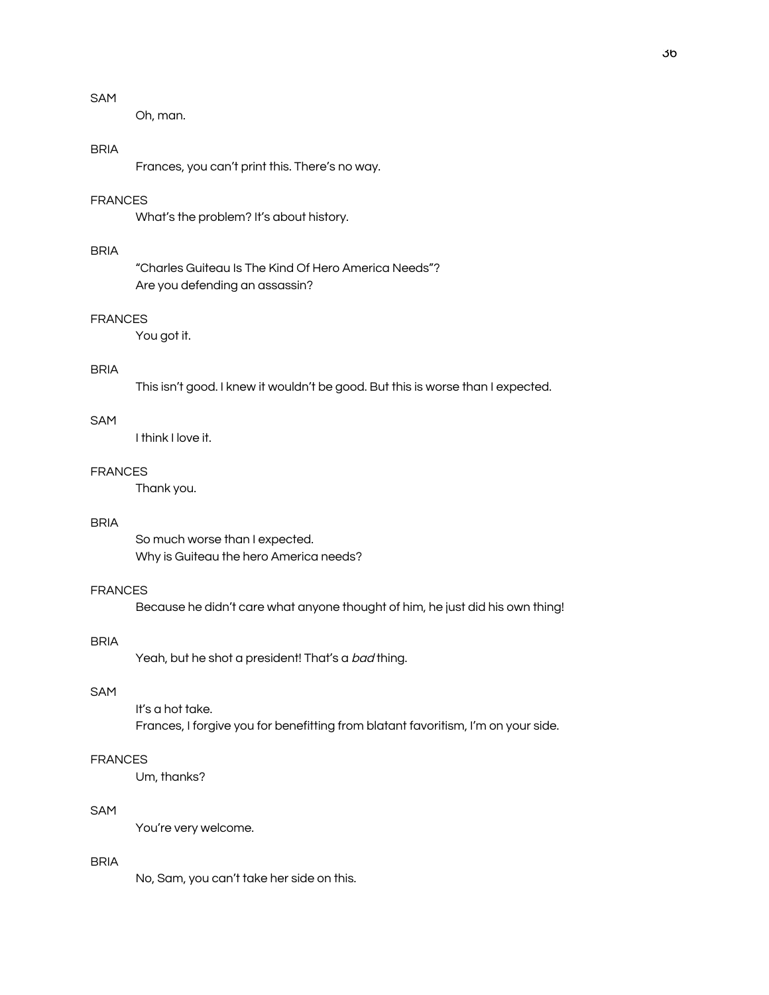# SAM

Oh, man.

# **BRIA**

Frances, you can't print this. There's no way.

# **FRANCES**

What's the problem? It's about history.

## **BRIA**

"Charles Guiteau Is The Kind Of Hero America Needs"? Are you defending an assassin?

## **FRANCES**

You got it.

# **BRIA**

This isn't good. I knew it wouldn't be good. But this is worse than I expected.

#### SAM

I think I love it.

#### **FRANCES**

Thank you.

#### **BRIA**

So much worse than I expected. Why is Guiteau the hero America needs?

## **FRANCES**

Because he didn't care what anyone thought of him, he just did his own thing!

## **BRIA**

Yeah, but he shot a president! That's a bad thing.

# SAM

It's a hot take. Frances, I forgive you for benefitting from blatant favoritism, I'm on your side.

## **FRANCES**

Um, thanks?

# **SAM**

You're very welcome.

#### **BRIA**

No, Sam, you can't take her side on this.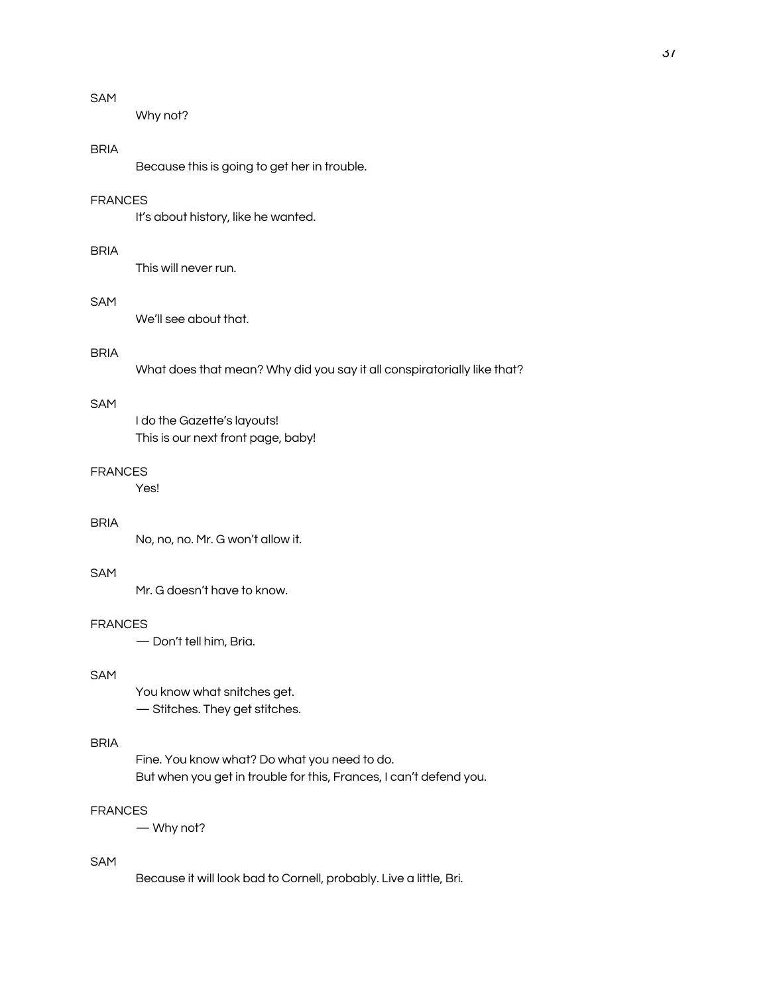# SAM

Why not?

# **BRIA**

Because this is going to get her in trouble.

# **FRANCES**

It's about history, like he wanted.

## **BRIA**

This will never run.

## **SAM**

We'll see about that.

#### **BRIA**

What does that mean? Why did you say it all conspiratorially like that?

## **SAM**

I do the Gazette's layouts! This is our next front page, baby!

#### **FRANCES**

Yes!

## **BRIA**

No, no, no. Mr. G won't allow it.

## SAM

Mr. G doesn't have to know.

#### **FRANCES**

- Don't tell him, Bria.

#### SAM

You know what snitches get. - Stitches. They get stitches.

#### **BRIA**

Fine. You know what? Do what you need to do. But when you get in trouble for this, Frances, I can't defend you.

## **FRANCES**

- Why not?

#### SAM

Because it will look bad to Cornell, probably. Live a little, Bri.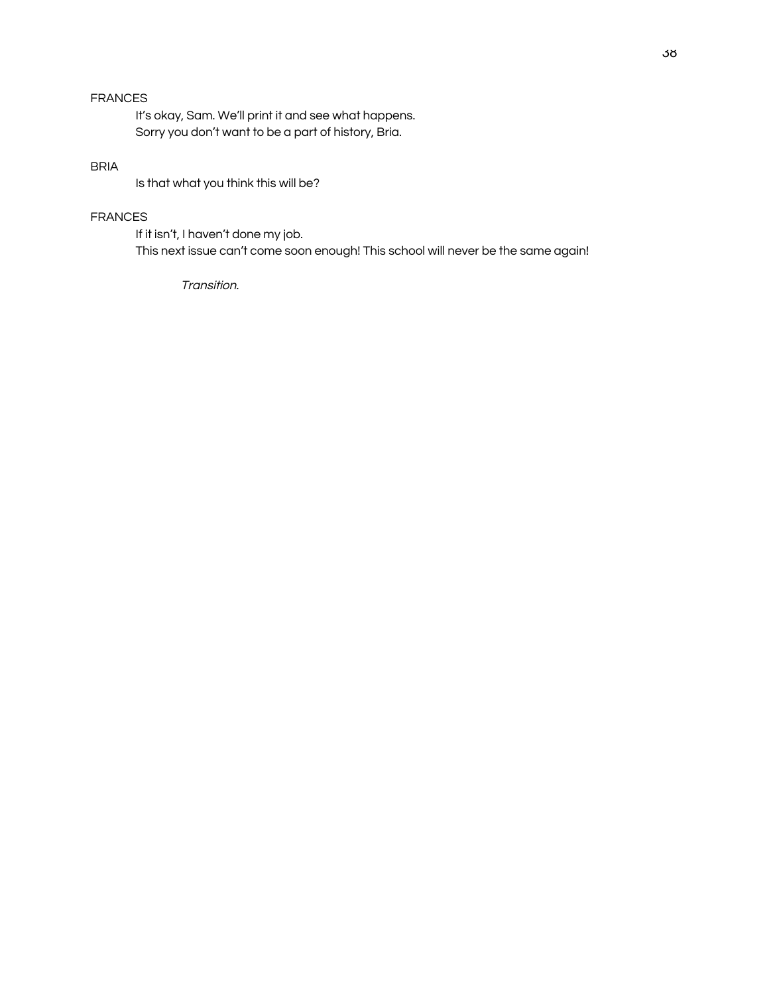It's okay, Sam. We'll print it and see what happens. Sorry you don't want to be a part of history, Bria.

# **BRIA**

Is that what you think this will be?

# **FRANCES**

If it isn't, I haven't done my job. This next issue can't come soon enough! This school will never be the same again!

Transition.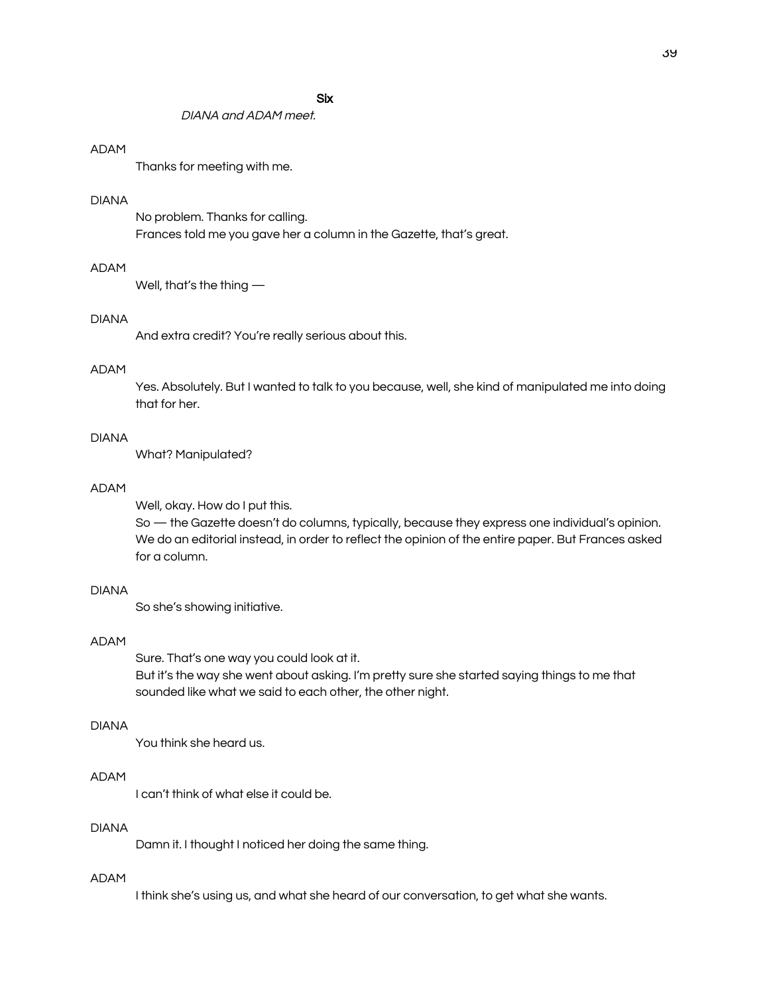**Six** 

#### DIANA and ADAM meet.

#### **ADAM**

Thanks for meeting with me.

## **DIANA**

No problem. Thanks for calling. Frances told me you gave her a column in the Gazette, that's great.

#### **ADAM**

Well, that's the thing  $-$ 

## **DIANA**

And extra credit? You're really serious about this.

#### **ADAM**

Yes. Absolutely. But I wanted to talk to you because, well, she kind of manipulated me into doing that for her.

#### **DIANA**

**What? Manipulated?** 

#### **ADAM**

Well, okay. How do I put this.

So - the Gazette doesn't do columns, typically, because they express one individual's opinion. We do an editorial instead, in order to reflect the opinion of the entire paper. But Frances asked for a column.

#### **DIANA**

So she's showing initiative.

#### **ADAM**

Sure. That's one way you could look at it. But it's the way she went about asking. I'm pretty sure she started saying things to me that sounded like what we said to each other, the other night.

#### **DIANA**

You think she heard us.

## **ADAM**

I can't think of what else it could be.

## **DIANA**

Damn it. I thought I noticed her doing the same thing.

#### **ADAM**

I think she's using us, and what she heard of our conversation, to get what she wants.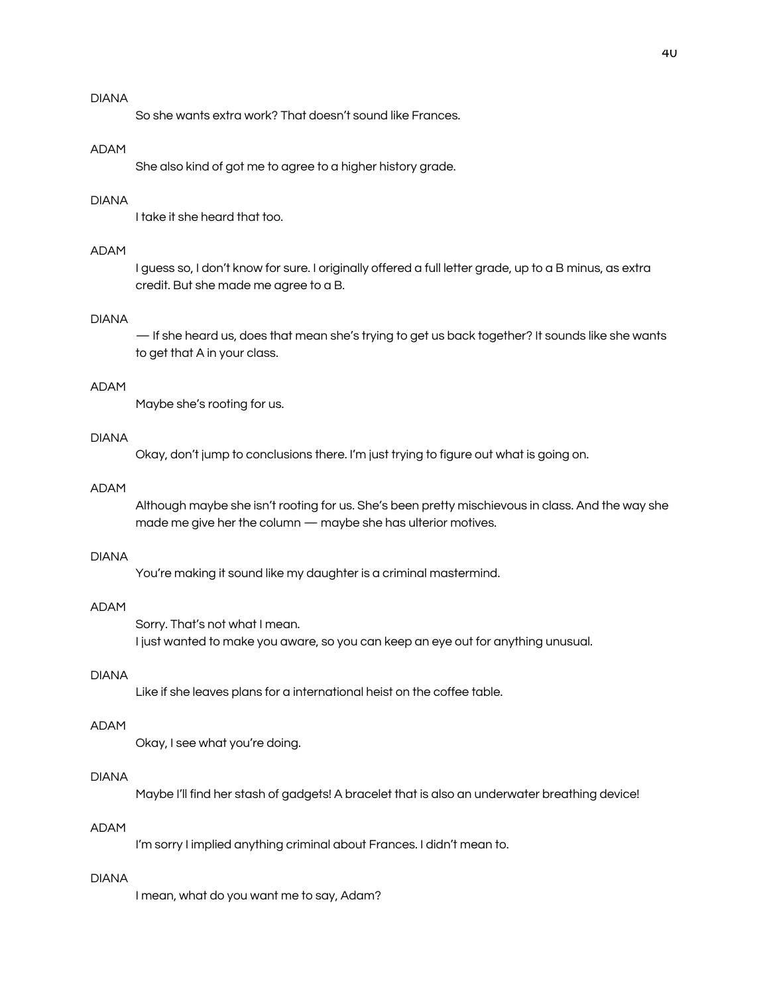So she wants extra work? That doesn't sound like Frances.

#### **ADAM**

She also kind of got me to agree to a higher history grade.

# **DIANA**

I take it she heard that too.

#### **ADAM**

I guess so, I don't know for sure. I originally offered a full letter grade, up to a B minus, as extra credit. But she made me agree to a B.

## **DIANA**

- If she heard us, does that mean she's trying to get us back together? It sounds like she wants to get that A in your class.

# **ADAM**

Maybe she's rooting for us.

#### **DIANA**

Okay, don't jump to conclusions there. I'm just trying to figure out what is going on.

#### **ADAM**

Although maybe she isn't rooting for us. She's been pretty mischievous in class. And the way she made me give her the column - maybe she has ulterior motives.

#### **DIANA**

You're making it sound like my daughter is a criminal mastermind.

#### **ADAM**

Sorry. That's not what I mean. I just wanted to make you aware, so you can keep an eye out for anything unusual.

#### **DIANA**

Like if she leaves plans for a international heist on the coffee table.

#### **ADAM**

Okay, I see what you're doing.

## **DIANA**

Maybe I'll find her stash of gadgets! A bracelet that is also an underwater breathing device!

## **ADAM**

I'm sorry I implied anything criminal about Frances. I didn't mean to.

#### **DIANA**

I mean, what do you want me to say, Adam?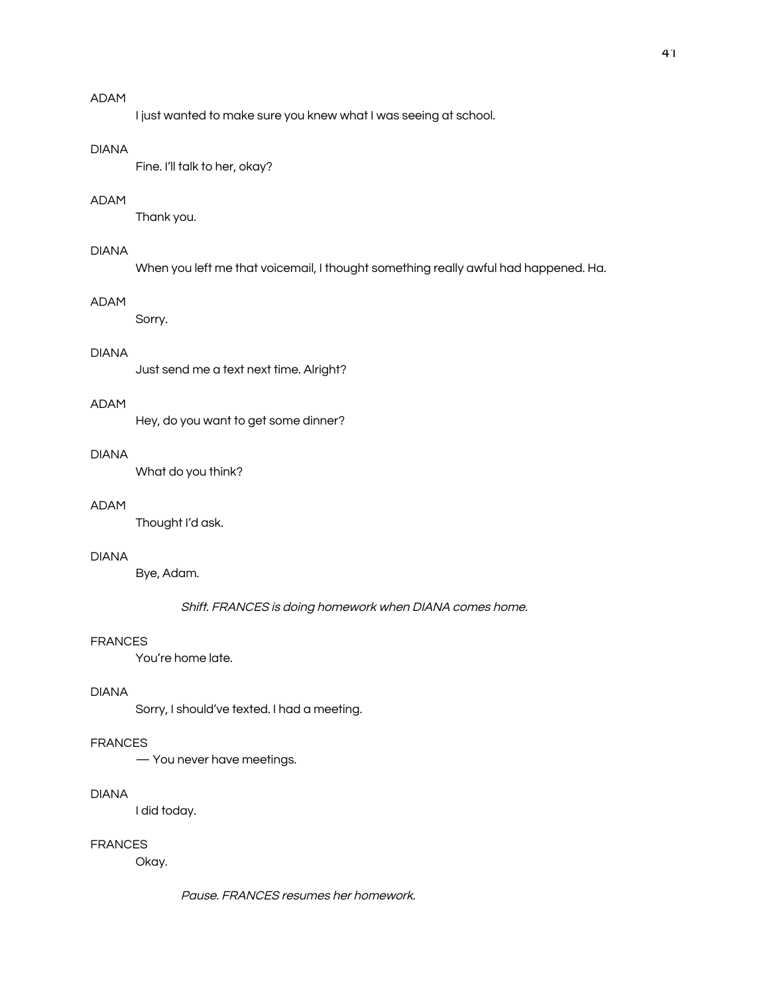I just wanted to make sure you knew what I was seeing at school.

## **DIANA**

Fine. I'll talk to her, okay?

# **ADAM**

Thank you.

## **DIANA**

When you left me that voicemail, I thought something really awful had happened. Ha.

## **ADAM**

Sorry.

# **DIANA**

Just send me a text next time. Alright?

# **ADAM**

Hey, do you want to get some dinner?

#### **DIANA**

What do you think?

# **ADAM**

Thought I'd ask.

# **DIANA**

Bye, Adam.

Shift. FRANCES is doing homework when DIANA comes home.

#### **FRANCES**

You're home late.

# **DIANA**

Sorry, I should've texted. I had a meeting.

#### **FRANCES**

- You never have meetings.

## **DIANA**

I did today.

## **FRANCES**

Okay.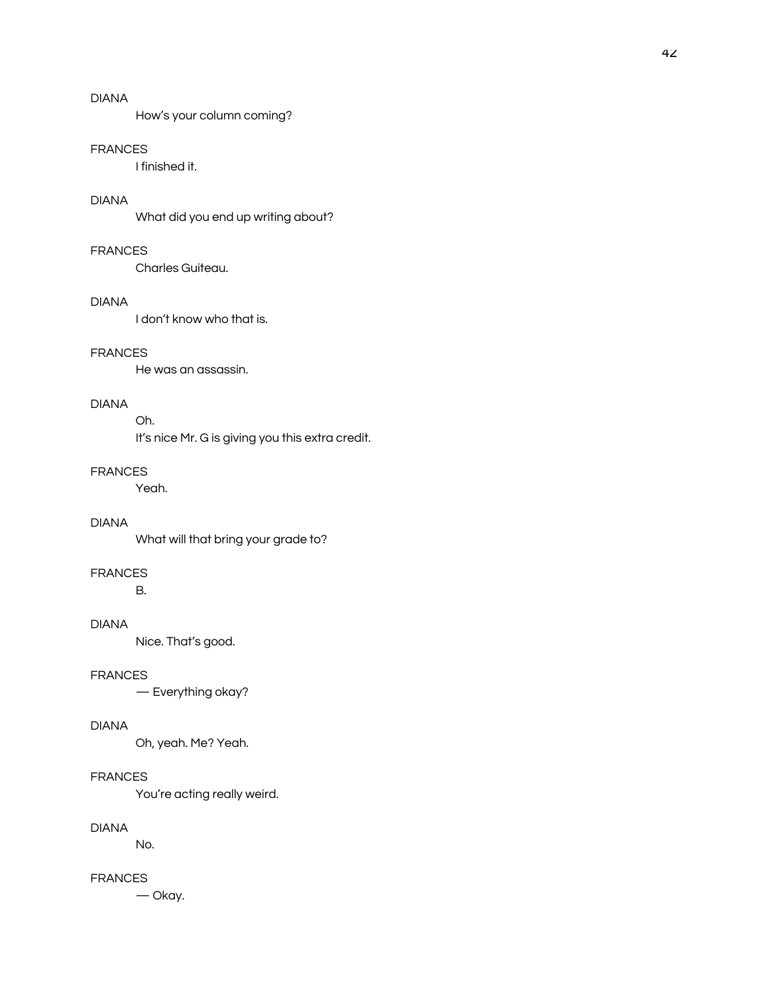How's your column coming?

## **FRANCES**

I finished it.

# **DIANA**

What did you end up writing about?

# **FRANCES**

Charles Guiteau.

#### **DIANA**

I don't know who that is.

# **FRANCES**

He was an assassin.

## **DIANA**

Oh.

It's nice Mr. G is giving you this extra credit.

## **FRANCES**

Yeah.

# **DIANA**

What will that bring your grade to?

### **FRANCES**

 $B.$ 

## **DIANA**

Nice. That's good.

# **FRANCES**

- Everything okay?

# **DIANA**

Oh, yeah. Me? Yeah.

#### **FRANCES**

You're acting really weird.

#### **DIANA**

No.

# **FRANCES**

 $-\alpha$ kay.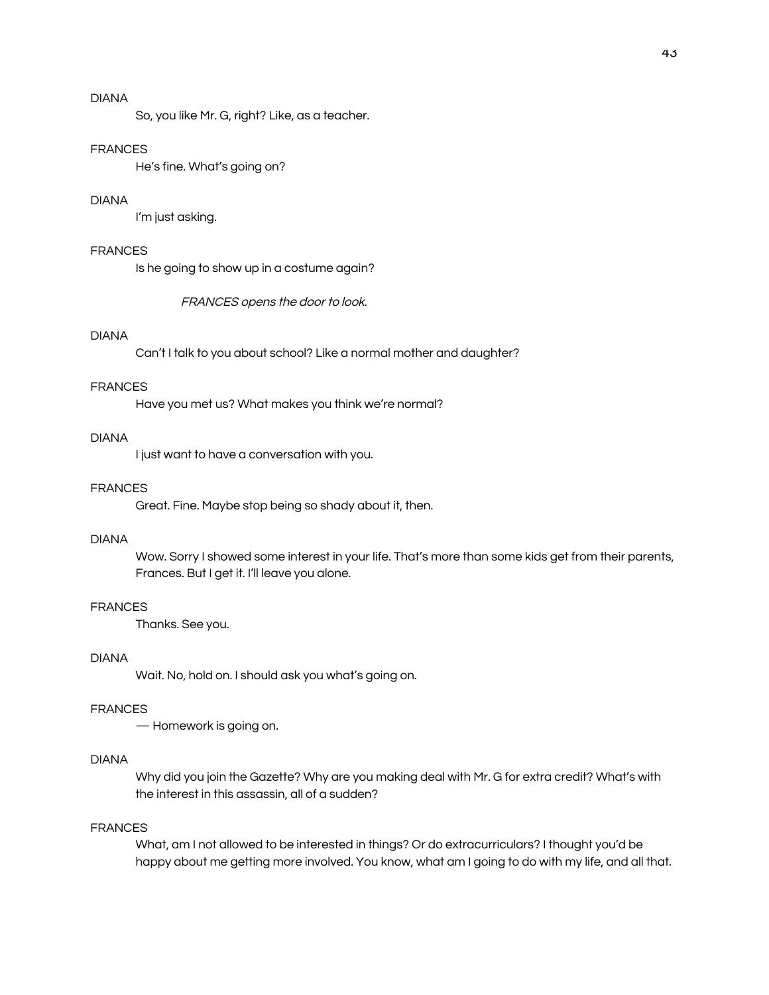So, you like Mr. G, right? Like, as a teacher.

#### **FRANCES**

He's fine. What's going on?

## **DIANA**

I'm just asking.

# **FRANCES**

Is he going to show up in a costume again?

FRANCES opens the door to look.

#### **DIANA**

Can't I talk to you about school? Like a normal mother and daughter?

### **FRANCES**

Have you met us? What makes you think we're normal?

#### **DIANA**

I just want to have a conversation with you.

#### **FRANCES**

Great. Fine. Maybe stop being so shady about it, then.

# **DIANA**

Wow. Sorry I showed some interest in your life. That's more than some kids get from their parents, Frances. But I get it. I'll leave you alone.

## **FRANCES**

Thanks. See you.

# **DIANA**

Wait. No, hold on. I should ask you what's going on.

#### **FRANCES**

- Homework is going on.

## **DIANA**

Why did you join the Gazette? Why are you making deal with Mr. G for extra credit? What's with the interest in this assassin, all of a sudden?

#### **FRANCES**

What, am I not allowed to be interested in things? Or do extracurriculars? I thought you'd be happy about me getting more involved. You know, what am I going to do with my life, and all that.